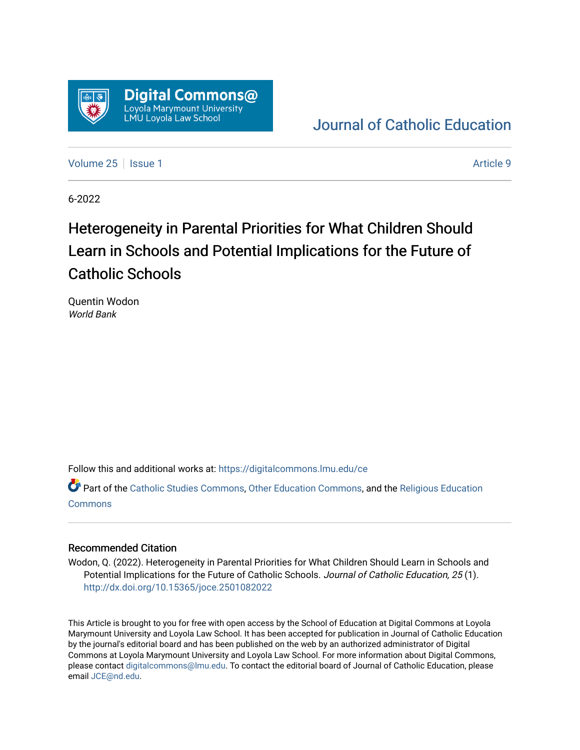

### [Journal of Catholic Education](https://digitalcommons.lmu.edu/ce)

[Volume 25](https://digitalcommons.lmu.edu/ce/vol25) | [Issue 1](https://digitalcommons.lmu.edu/ce/vol25/iss1) Article 9

6-2022

## Heterogeneity in Parental Priorities for What Children Should Learn in Schools and Potential Implications for the Future of Catholic Schools

Quentin Wodon World Bank

Follow this and additional works at: [https://digitalcommons.lmu.edu/ce](https://digitalcommons.lmu.edu/ce?utm_source=digitalcommons.lmu.edu%2Fce%2Fvol25%2Fiss1%2F9&utm_medium=PDF&utm_campaign=PDFCoverPages)

Part of the [Catholic Studies Commons](https://network.bepress.com/hgg/discipline/1294?utm_source=digitalcommons.lmu.edu%2Fce%2Fvol25%2Fiss1%2F9&utm_medium=PDF&utm_campaign=PDFCoverPages), [Other Education Commons](https://network.bepress.com/hgg/discipline/811?utm_source=digitalcommons.lmu.edu%2Fce%2Fvol25%2Fiss1%2F9&utm_medium=PDF&utm_campaign=PDFCoverPages), and the [Religious Education](https://network.bepress.com/hgg/discipline/1414?utm_source=digitalcommons.lmu.edu%2Fce%2Fvol25%2Fiss1%2F9&utm_medium=PDF&utm_campaign=PDFCoverPages)  [Commons](https://network.bepress.com/hgg/discipline/1414?utm_source=digitalcommons.lmu.edu%2Fce%2Fvol25%2Fiss1%2F9&utm_medium=PDF&utm_campaign=PDFCoverPages)

#### Recommended Citation

Wodon, Q. (2022). Heterogeneity in Parental Priorities for What Children Should Learn in Schools and Potential Implications for the Future of Catholic Schools. Journal of Catholic Education, 25 (1). <http://dx.doi.org/10.15365/joce.2501082022>

This Article is brought to you for free with open access by the School of Education at Digital Commons at Loyola Marymount University and Loyola Law School. It has been accepted for publication in Journal of Catholic Education by the journal's editorial board and has been published on the web by an authorized administrator of Digital Commons at Loyola Marymount University and Loyola Law School. For more information about Digital Commons, please contact [digitalcommons@lmu.edu](mailto:digitalcommons@lmu.edu). To contact the editorial board of Journal of Catholic Education, please email [JCE@nd.edu](mailto:JCE@nd.edu).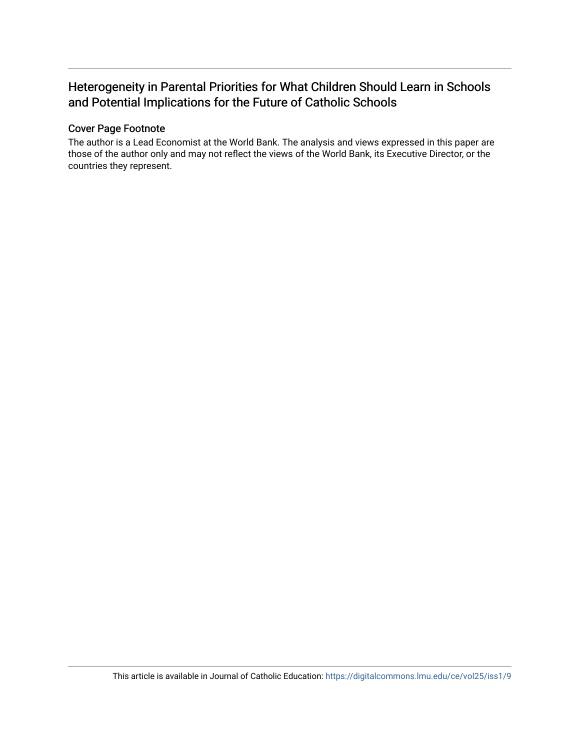### Heterogeneity in Parental Priorities for What Children Should Learn in Schools and Potential Implications for the Future of Catholic Schools

#### Cover Page Footnote

The author is a Lead Economist at the World Bank. The analysis and views expressed in this paper are those of the author only and may not reflect the views of the World Bank, its Executive Director, or the countries they represent.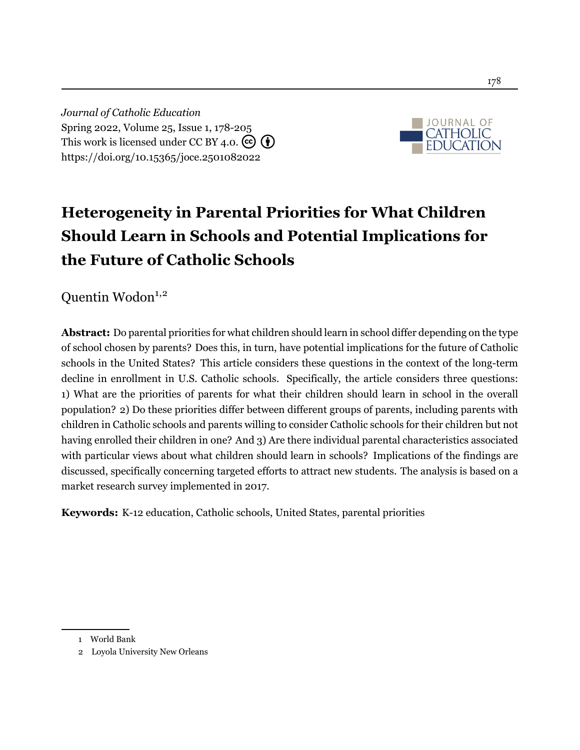*Journal of Catholic Education* Spring 2022, Volume 25, Issue 1, 178[-205](#page-29-0) This work is licensed under CC BY 4.0.  $\left(\overline{\mathbf{e}}\right)\left(\overline{\mathbf{f}}\right)$ <https://doi.org/10.15365/joce.2501082022>



# **Heterogeneity in Parental Priorities for What Children Should Learn in Schools and Potential Implications for the Future of Catholic Schools**

Quentin Wodon<sup>1,2</sup>

**Abstract:** Do parental priorities for what children should learn in school differ depending on the type of school chosen by parents? Does this, in turn, have potential implications for the future of Catholic schools in the United States? This article considers these questions in the context of the long-term decline in enrollment in U.S. Catholic schools. Specifically, the article considers three questions: 1) What are the priorities of parents for what their children should learn in school in the overall population? 2) Do these priorities differ between different groups of parents, including parents with children in Catholic schools and parents willing to consider Catholic schools for their children but not having enrolled their children in one? And 3) Are there individual parental characteristics associated with particular views about what children should learn in schools? Implications of the findings are discussed, specifically concerning targeted efforts to attract new students. The analysis is based on a market research survey implemented in 2017.

**Keywords:** K-12 education, Catholic schools, United States, parental priorities

<sup>1</sup> World Bank

<sup>2</sup> Loyola University New Orleans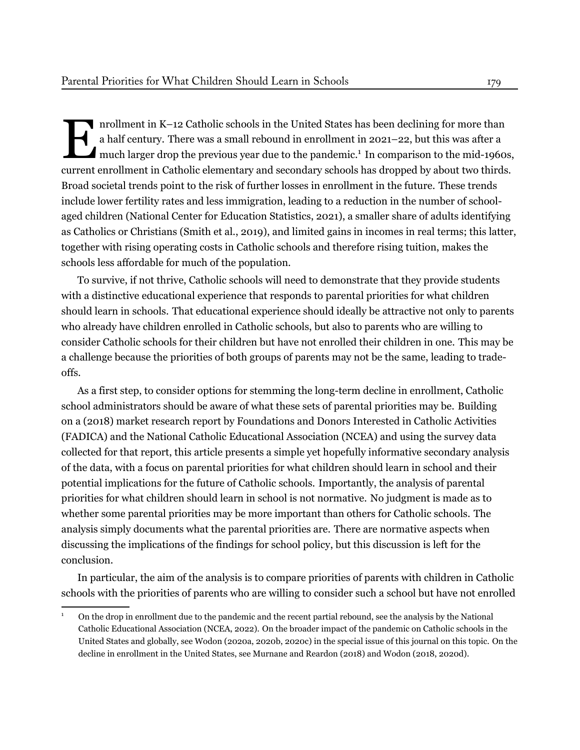IM INCOLUTE: The current in K-12 Catholic schools in the United States has been declining for more than<br>a half century. There was a small rebound in enrollment in 2021–22, but this was after a<br>much larger drop the previous nrollment in K–12 Catholic schools in the United States has been declining for more than a half century. There was a small rebound in enrollment in 2021–22, but this was after a much larger drop the previous year due to the pandemic.<sup>1</sup> In comparison to the mid-1960s, Broad societal trends point to the risk of further losses in enrollment in the future. These trends include lower fertility rates and less immigration, leading to a reduction in the number of schoolaged children (National Center for Education Statistics, [2021](#page-27-0)), a smaller share of adults identifying as Catholics or Christians ([Smith et al., 2019\)](#page-28-0), and limited gains in incomes in real terms; this latter, together with rising operating costs in Catholic schools and therefore rising tuition, makes the schools less affordable for much of the population.

To survive, if not thrive, Catholic schools will need to demonstrate that they provide students with a distinctive educational experience that responds to parental priorities for what children should learn in schools. That educational experience should ideally be attractive not only to parents who already have children enrolled in Catholic schools, but also to parents who are willing to consider Catholic schools for their children but have not enrolled their children in one. This may be a challenge because the priorities of both groups of parents may not be the same, leading to tradeoffs.

As a first step, to consider options for stemming the long-term decline in enrollment, Catholic school administrators should be aware of what these sets of parental priorities may be. Building on a (2018) market research report by Foundations and Donors Interested in Catholic Activities (FADICA) and the National Catholic Educational Association (NCEA) and using the survey data collected for that report, this article presents a simple yet hopefully informative secondary analysis of the data, with a focus on parental priorities for what children should learn in school and their potential implications for the future of Catholic schools. Importantly, the analysis of parental priorities for what children should learn in school is not normative. No judgment is made as to whether some parental priorities may be more important than others for Catholic schools. The analysis simply documents what the parental priorities are. There are normative aspects when discussing the implications of the findings for school policy, but this discussion is left for the conclusion.

In particular, the aim of the analysis is to compare priorities of parents with children in Catholic schools with the priorities of parents who are willing to consider such a school but have not enrolled

<sup>1</sup> On the drop in enrollment due to the pandemic and the recent partial rebound, see the analysis by the National Catholic Educational Association (NCEA, 2022). On the broader impact of the pandemic on Catholic schools in the United States and globally, see Wodon (2020a, 2020b, 2020c) in the special issue of this journal on this topic. On the decline in enrollment in the United States, see [Murnane](#page-27-1) and Reardon [\(2018](#page-27-1)) and Wodon (2018, 2020d).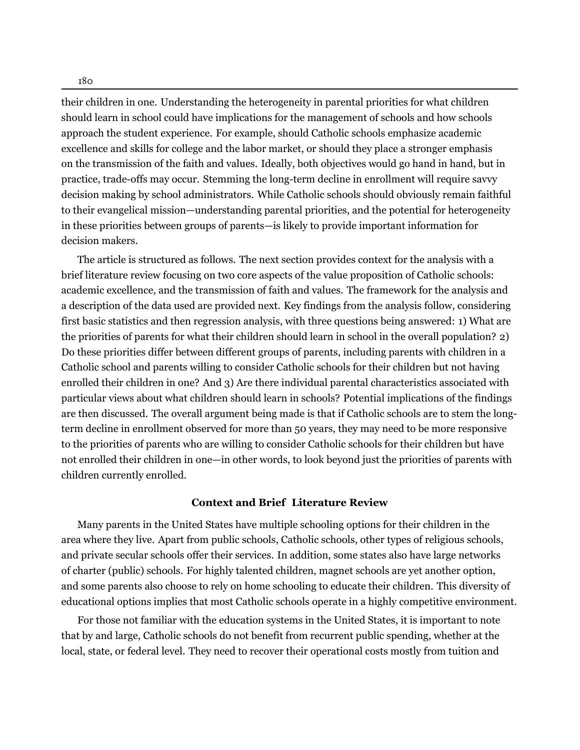180

their children in one. Understanding the heterogeneity in parental priorities for what children should learn in school could have implications for the management of schools and how schools approach the student experience. For example, should Catholic schools emphasize academic excellence and skills for college and the labor market, or should they place a stronger emphasis on the transmission of the faith and values. Ideally, both objectives would go hand in hand, but in practice, trade-offs may occur. Stemming the long-term decline in enrollment will require savvy decision making by school administrators. While Catholic schools should obviously remain faithful to their evangelical mission—understanding parental priorities, and the potential for heterogeneity in these priorities between groups of parents—is likely to provide important information for decision makers.

The article is structured as follows. The next section provides context for the analysis with a brief literature review focusing on two core aspects of the value proposition of Catholic schools: academic excellence, and the transmission of faith and values. The framework for the analysis and a description of the data used are provided next. Key findings from the analysis follow, considering first basic statistics and then regression analysis, with three questions being answered: 1) What are the priorities of parents for what their children should learn in school in the overall population? 2) Do these priorities differ between different groups of parents, including parents with children in a Catholic school and parents willing to consider Catholic schools for their children but not having enrolled their children in one? And 3) Are there individual parental characteristics associated with particular views about what children should learn in schools? Potential implications of the findings are then discussed. The overall argument being made is that if Catholic schools are to stem the longterm decline in enrollment observed for more than 50 years, they may need to be more responsive to the priorities of parents who are willing to consider Catholic schools for their children but have not enrolled their children in one—in other words, to look beyond just the priorities of parents with children currently enrolled.

#### **Context and Brief Literature Review**

Many parents in the United States have multiple schooling options for their children in the area where they live. Apart from public schools, Catholic schools, other types of religious schools, and private secular schools offer their services. In addition, some states also have large networks of charter (public) schools. For highly talented children, magnet schools are yet another option, and some parents also choose to rely on home schooling to educate their children. This diversity of educational options implies that most Catholic schools operate in a highly competitive environment.

For those not familiar with the education systems in the United States, it is important to note that by and large, Catholic schools do not benefit from recurrent public spending, whether at the local, state, or federal level. They need to recover their operational costs mostly from tuition and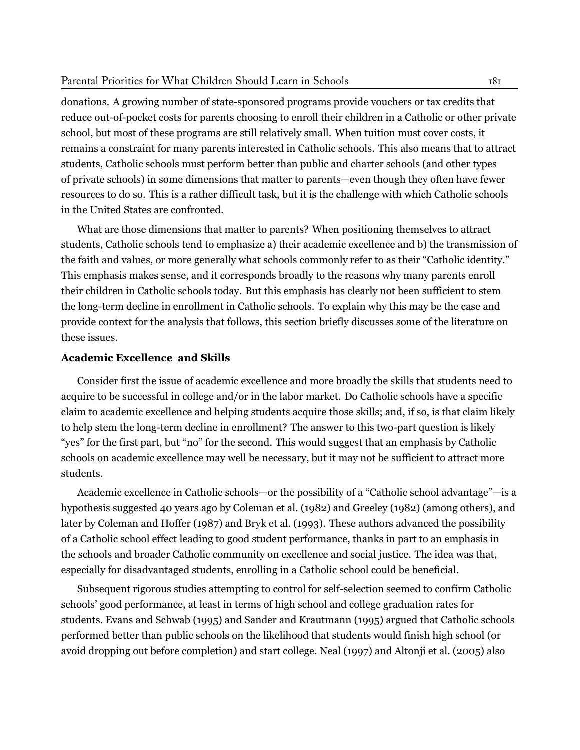#### Parental Priorities for What Children Should Learn in Schools 181

donations. A growing number of state-sponsored programs provide vouchers or tax credits that reduce out-of-pocket costs for parents choosing to enroll their children in a Catholic or other private school, but most of these programs are still relatively small. When tuition must cover costs, it remains a constraint for many parents interested in Catholic schools. This also means that to attract students, Catholic schools must perform better than public and charter schools (and other types of private schools) in some dimensions that matter to parents—even though they often have fewer resources to do so. This is a rather difficult task, but it is the challenge with which Catholic schools in the United States are confronted.

What are those dimensions that matter to parents? When positioning themselves to attract students, Catholic schools tend to emphasize a) their academic excellence and b) the transmission of the faith and values, or more generally what schools commonly refer to as their "Catholic identity." This emphasis makes sense, and it corresponds broadly to the reasons why many parents enroll their children in Catholic schools today. But this emphasis has clearly not been sufficient to stem the long-term decline in enrollment in Catholic schools. To explain why this may be the case and provide context for the analysis that follows, this section briefly discusses some of the literature on these issues.

#### **Academic Excellence and Skills**

Consider first the issue of academic excellence and more broadly the skills that students need to acquire to be successful in college and/or in the labor market. Do Catholic schools have a specific claim to academic excellence and helping students acquire those skills; and, if so, is that claim likely to help stem the long-term decline in enrollment? The answer to this two-part question is likely "yes" for the first part, but "no" for the second. This would suggest that an emphasis by Catholic schools on academic excellence may well be necessary, but it may not be sufficient to attract more students.

Academic excellence in Catholic schools—or the possibility of a "Catholic school advantage"—is a hypothesis suggested 40 years ago by [Coleman et al.](#page-26-0) ([1982](#page-26-0)) and [Greeley](#page-27-2) [\(1982\)](#page-27-2) (among others), and later by [Coleman and Hoffer](#page-26-1) [\(1987](#page-26-1)) and [Bryk et al.](#page-26-2) [\(1993](#page-26-2)). These authors advanced the possibility of a Catholic school effect leading to good student performance, thanks in part to an emphasis in the schools and broader Catholic community on excellence and social justice. The idea was that, especially for disadvantaged students, enrolling in a Catholic school could be beneficial.

Subsequent rigorous studies attempting to control for self-selection seemed to confirm Catholic schools' good performance, at least in terms of high school and college graduation rates for students. [Evans and Schwab](#page-26-3) [\(1995\)](#page-26-3) and [Sander and Krautmann](#page-28-1) [\(1995](#page-28-1)) argued that Catholic schools performed better than public schools on the likelihood that students would finish high school (or avoid dropping out before completion) and start college. [Neal](#page-27-3) ([1997](#page-27-3)) and [Altonji et al.](#page-26-4) [\(2005\)](#page-26-4) also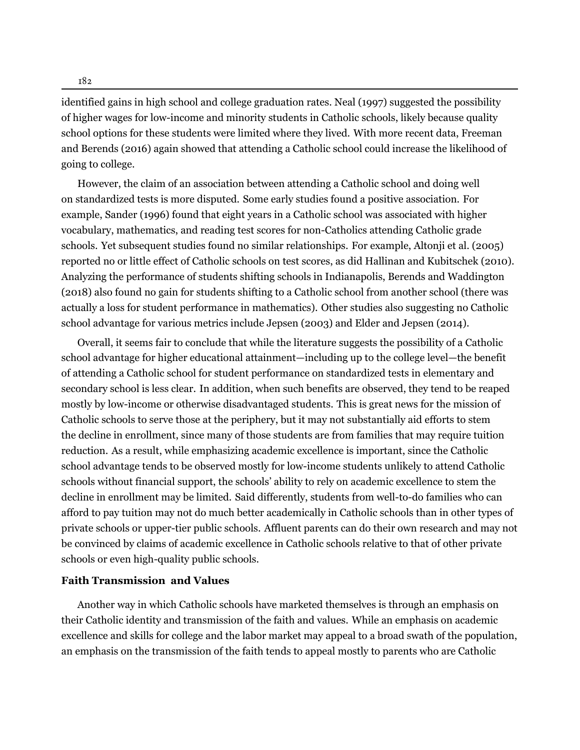182

identified gains in high school and college graduation rates. [Neal](#page-27-3) [\(1997\)](#page-27-3) suggested the possibility of higher wages for low-income and minority students in Catholic schools, likely because quality school options for these students were limited where they lived. With more recent data, [Freeman](#page-27-4) [and Berends](#page-27-4) ([2016\)](#page-27-4) again showed that attending a Catholic school could increase the likelihood of going to college.

However, the claim of an association between attending a Catholic school and doing well on standardized tests is more disputed. Some early studies found a positive association. For example, [Sander](#page-28-2) ([1996\)](#page-28-2) found that eight years in a Catholic school was associated with higher vocabulary, mathematics, and reading test scores for non-Catholics attending Catholic grade schools. Yet subsequent studies found no similar relationships. For example, [Altonji et al.](#page-26-4) ([2005\)](#page-26-4) reported no or little effect of Catholic schools on test scores, as did [Hallinan and Kubitschek](#page-27-5) ([2010](#page-27-5)). Analyzing the performance of students shifting schools in Indianapolis, [Berends and Waddington](#page-26-5) ([2018\)](#page-26-5) also found no gain for students shifting to a Catholic school from another school (there was actually a loss for student performance in mathematics). Other studies also suggesting no Catholic school advantage for various metrics include [Jepsen](#page-27-6) ([2003](#page-27-6)) and [Elder and Jepsen](#page-26-6) ([2014\)](#page-26-6).

Overall, it seems fair to conclude that while the literature suggests the possibility of a Catholic school advantage for higher educational attainment—including up to the college level—the benefit of attending a Catholic school for student performance on standardized tests in elementary and secondary school is less clear. In addition, when such benefits are observed, they tend to be reaped mostly by low-income or otherwise disadvantaged students. This is great news for the mission of Catholic schools to serve those at the periphery, but it may not substantially aid efforts to stem the decline in enrollment, since many of those students are from families that may require tuition reduction. As a result, while emphasizing academic excellence is important, since the Catholic school advantage tends to be observed mostly for low-income students unlikely to attend Catholic schools without financial support, the schools' ability to rely on academic excellence to stem the decline in enrollment may be limited. Said differently, students from well-to-do families who can afford to pay tuition may not do much better academically in Catholic schools than in other types of private schools or upper-tier public schools. Affluent parents can do their own research and may not be convinced by claims of academic excellence in Catholic schools relative to that of other private schools or even high-quality public schools.

#### **Faith Transmission and Values**

Another way in which Catholic schools have marketed themselves is through an emphasis on their Catholic identity and transmission of the faith and values. While an emphasis on academic excellence and skills for college and the labor market may appeal to a broad swath of the population, an emphasis on the transmission of the faith tends to appeal mostly to parents who are Catholic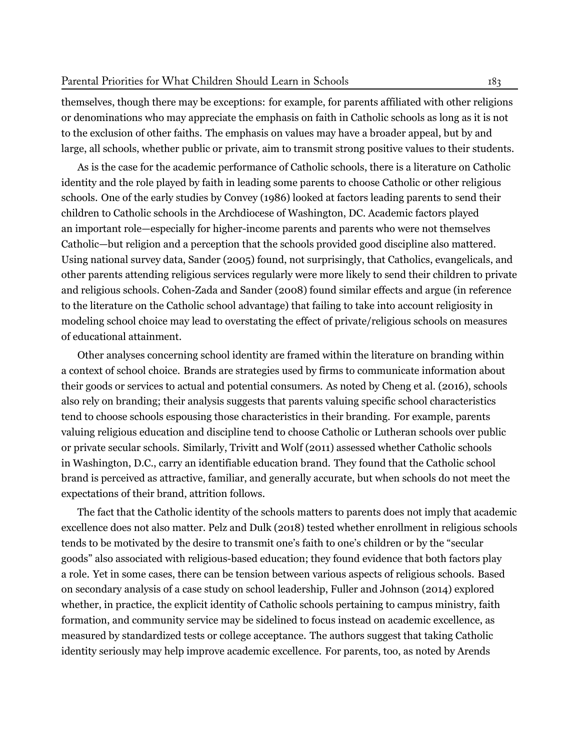themselves, though there may be exceptions: for example, for parents affiliated with other religions or denominations who may appreciate the emphasis on faith in Catholic schools as long as it is not to the exclusion of other faiths. The emphasis on values may have a broader appeal, but by and large, all schools, whether public or private, aim to transmit strong positive values to their students.

As is the case for the academic performance of Catholic schools, there is a literature on Catholic identity and the role played by faith in leading some parents to choose Catholic or other religious schools. One of the early studies by [Convey](#page-26-7) ([1986](#page-26-7)) looked at factors leading parents to send their children to Catholic schools in the Archdiocese of Washington, DC. Academic factors played an important role—especially for higher-income parents and parents who were not themselves Catholic—but religion and a perception that the schools provided good discipline also mattered. Using national survey data, [Sander](#page-28-3) ([2005\)](#page-28-3) found, not surprisingly, that Catholics, evangelicals, and other parents attending religious services regularly were more likely to send their children to private and religious schools. [Cohen-Zada](#page-26-8) and Sander [\(2008](#page-26-8)) found similar effects and argue (in reference to the literature on the Catholic school advantage) that failing to take into account religiosity in modeling school choice may lead to overstating the effect of private/religious schools on measures of educational attainment.

Other analyses concerning school identity are framed within the literature on branding within a context of school choice. Brands are strategies used by firms to communicate information about their goods or services to actual and potential consumers. As noted by [Cheng](#page-26-9) et al. ([2016](#page-26-9)), schools also rely on branding; their analysis suggests that parents valuing specific school characteristics tend to choose schools espousing those characteristics in their branding. For example, parents valuing religious education and discipline tend to choose Catholic or Lutheran schools over public or private secular schools. Similarly, [Trivitt](#page-28-4) and Wolf [\(2011\)](#page-28-4) assessed whether Catholic schools in Washington, D.C., carry an identifiable education brand. They found that the Catholic school brand is perceived as attractive, familiar, and generally accurate, but when schools do not meet the expectations of their brand, attrition follows.

The fact that the Catholic identity of the schools matters to parents does not imply that academic excellence does not also matter. Pelz and [Dulk](#page-28-5) [\(2018](#page-28-5)) tested whether enrollment in religious schools tends to be motivated by the desire to transmit one's faith to one's children or by the "secular goods" also associated with religious-based education; they found evidence that both factors play a role. Yet in some cases, there can be tension between various aspects of religious schools. Based on secondary analysis of a case study on school leadership, Fuller and [Johnson](#page-27-7) ([2014](#page-27-7)) explored whether, in practice, the explicit identity of Catholic schools pertaining to campus ministry, faith formation, and community service may be sidelined to focus instead on academic excellence, as measured by standardized tests or college acceptance. The authors suggest that taking Catholic identity seriously may help improve academic excellence. For parents, too, as noted by Arends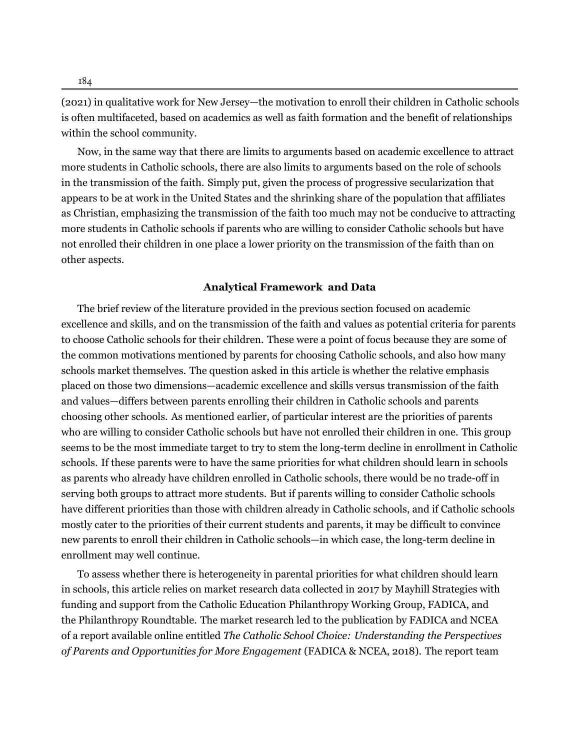184

(2021) in qualitative work for New Jersey—the motivation to enroll their children in Catholic schools is often multifaceted, based on academics as well as faith formation and the benefit of relationships within the school community.

Now, in the same way that there are limits to arguments based on academic excellence to attract more students in Catholic schools, there are also limits to arguments based on the role of schools in the transmission of the faith. Simply put, given the process of progressive secularization that appears to be at work in the United States and the shrinking share of the population that affiliates as Christian, emphasizing the transmission of the faith too much may not be conducive to attracting more students in Catholic schools if parents who are willing to consider Catholic schools but have not enrolled their children in one place a lower priority on the transmission of the faith than on other aspects.

#### **Analytical Framework and Data**

The brief review of the literature provided in the previous section focused on academic excellence and skills, and on the transmission of the faith and values as potential criteria for parents to choose Catholic schools for their children. These were a point of focus because they are some of the common motivations mentioned by parents for choosing Catholic schools, and also how many schools market themselves. The question asked in this article is whether the relative emphasis placed on those two dimensions—academic excellence and skills versus transmission of the faith and values—differs between parents enrolling their children in Catholic schools and parents choosing other schools. As mentioned earlier, of particular interest are the priorities of parents who are willing to consider Catholic schools but have not enrolled their children in one. This group seems to be the most immediate target to try to stem the long-term decline in enrollment in Catholic schools. If these parents were to have the same priorities for what children should learn in schools as parents who already have children enrolled in Catholic schools, there would be no trade-off in serving both groups to attract more students. But if parents willing to consider Catholic schools have different priorities than those with children already in Catholic schools, and if Catholic schools mostly cater to the priorities of their current students and parents, it may be difficult to convince new parents to enroll their children in Catholic schools—in which case, the long-term decline in enrollment may well continue.

To assess whether there is heterogeneity in parental priorities for what children should learn in schools, this article relies on market research data collected in 2017 by Mayhill Strategies with funding and support from the Catholic Education Philanthropy Working Group, FADICA, and the Philanthropy Roundtable. The market research led to the publication by FADICA and NCEA of a report available online entitled *The Catholic School Choice: Understanding the Perspectives of Parents and Opportunities for More Engagement* (FADICA & NCEA, [2018](#page-26-10)). The report team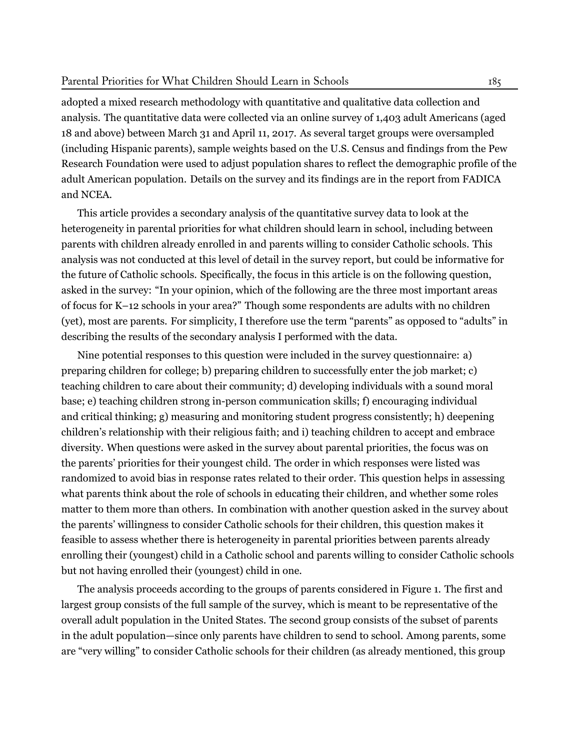#### Parental Priorities for What Children Should Learn in Schools 185

adopted a mixed research methodology with quantitative and qualitative data collection and analysis. The quantitative data were collected via an online survey of 1,403 adult Americans (aged 18 and above) between March 31 and April 11, 2017. As several target groups were oversampled (including Hispanic parents), sample weights based on the U.S. Census and findings from the Pew Research Foundation were used to adjust population shares to reflect the demographic profile of the adult American population. Details on the survey and its findings are in the report from FADICA and NCEA.

This article provides a secondary analysis of the quantitative survey data to look at the heterogeneity in parental priorities for what children should learn in school, including between parents with children already enrolled in and parents willing to consider Catholic schools. This analysis was not conducted at this level of detail in the survey report, but could be informative for the future of Catholic schools. Specifically, the focus in this article is on the following question, asked in the survey: "In your opinion, which of the following are the three most important areas of focus for K–12 schools in your area?" Though some respondents are adults with no children (yet), most are parents. For simplicity, I therefore use the term "parents" as opposed to "adults" in describing the results of the secondary analysis I performed with the data.

Nine potential responses to this question were included in the survey questionnaire: a) preparing children for college; b) preparing children to successfully enter the job market; c) teaching children to care about their community; d) developing individuals with a sound moral base; e) teaching children strong in-person communication skills; f) encouraging individual and critical thinking; g) measuring and monitoring student progress consistently; h) deepening children's relationship with their religious faith; and i) teaching children to accept and embrace diversity. When questions were asked in the survey about parental priorities, the focus was on the parents' priorities for their youngest child. The order in which responses were listed was randomized to avoid bias in response rates related to their order. This question helps in assessing what parents think about the role of schools in educating their children, and whether some roles matter to them more than others. In combination with another question asked in the survey about the parents' willingness to consider Catholic schools for their children, this question makes it feasible to assess whether there is heterogeneity in parental priorities between parents already enrolling their (youngest) child in a Catholic school and parents willing to consider Catholic schools but not having enrolled their (youngest) child in one.

The analysis proceeds according to the groups of parents considered in Figure [1.](#page-10-0) The first and largest group consists of the full sample of the survey, which is meant to be representative of the overall adult population in the United States. The second group consists of the subset of parents in the adult population—since only parents have children to send to school. Among parents, some are "very willing" to consider Catholic schools for their children (as already mentioned, this group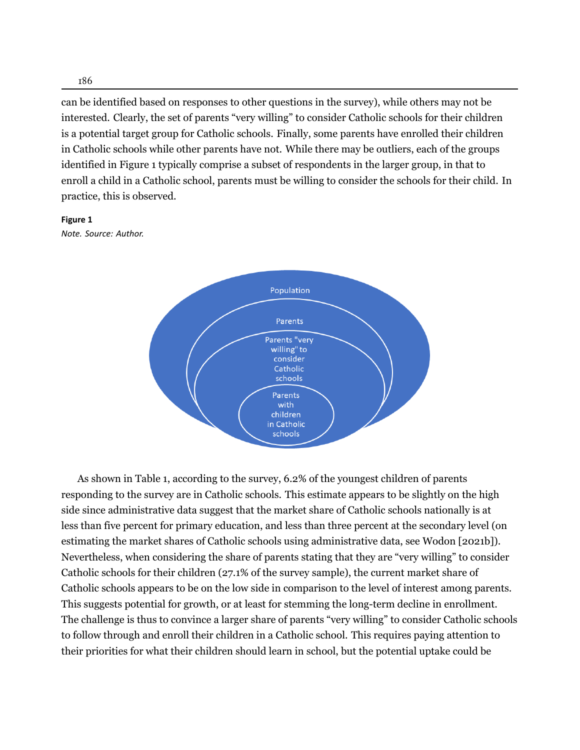can be identified based on responses to other questions in the survey), while others may not be interested. Clearly, the set of parents "very willing" to consider Catholic schools for their children is a potential target group for Catholic schools. Finally, some parents have enrolled their children in Catholic schools while other parents have not. While there may be outliers, each of the groups identified in Figure 1 typically comprise a subset of respondents in the larger group, in that to enroll a child in a Catholic school, parents must be willing to consider the schools for their child. In practice, this is observed.

#### <span id="page-10-0"></span>**Figure 1**

*Note. Source: Author.*



As shown in Table 1, according to the survey, 6.2% of the youngest children of parents responding to the survey are in Catholic schools. This estimate appears to be slightly on the high side since administrative data suggest that the market share of Catholic schools nationally is at less than five percent for primary education, and less than three percent at the secondary level (on estimating the market shares of Catholic schools using administrative data, see [Wodon](#page-28-6) [2021b]). Nevertheless, when considering the share of parents stating that they are "very willing" to consider Catholic schools for their children (27.1% of the survey sample), the current market share of Catholic schools appears to be on the low side in comparison to the level of interest among parents. This suggests potential for growth, or at least for stemming the long-term decline in enrollment. The challenge is thus to convince a larger share of parents "very willing" to consider Catholic schools to follow through and enroll their children in a Catholic school. This requires paying attention to their priorities for what their children should learn in school, but the potential uptake could be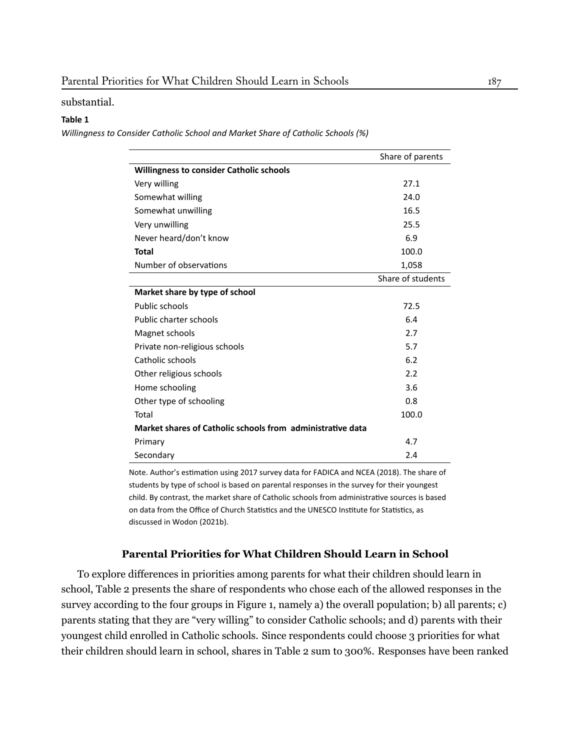substantial.

#### **Table 1**

*Willingness to Consider Catholic School and Market Share of Catholic Schools (%)*

|                                                            | Share of parents  |
|------------------------------------------------------------|-------------------|
| <b>Willingness to consider Catholic schools</b>            |                   |
| Very willing                                               | 27.1              |
| Somewhat willing                                           | 24.0              |
| Somewhat unwilling                                         | 16.5              |
| Very unwilling                                             | 25.5              |
| Never heard/don't know                                     | 6.9               |
| <b>Total</b>                                               | 100.0             |
| Number of observations                                     | 1,058             |
|                                                            | Share of students |
| Market share by type of school                             |                   |
| Public schools                                             | 72.5              |
| Public charter schools                                     | 6.4               |
| Magnet schools                                             | 2.7               |
| Private non-religious schools                              | 5.7               |
| Catholic schools                                           | 6.2               |
| Other religious schools                                    | 2.2               |
| Home schooling                                             | 3.6               |
| Other type of schooling                                    | 0.8               |
| Total                                                      | 100.0             |
| Market shares of Catholic schools from administrative data |                   |
| Primary                                                    | 4.7               |
| Secondary                                                  | 2.4               |

Note. Author's estimation using 2017 survey data for FADICA and NCEA ([2018\)](#page-26-10). The share of students by type of school is based on parental responses in the survey for their youngest child. By contrast, the market share of Catholic schools from administrative sources is based on data from the Office of Church Statistics and the UNESCO Institute for Statistics, as discussed in [Wodon](#page-28-6) (2021b).

#### **Parental Priorities for What Children Should Learn in School**

To explore differences in priorities among parents for what their children should learn in school, Table 2 presents the share of respondents who chose each of the allowed responses in the survey according to the four groups in Figure 1, namely a) the overall population; b) all parents; c) parents stating that they are "very willing" to consider Catholic schools; and d) parents with their youngest child enrolled in Catholic schools. Since respondents could choose 3 priorities for what their children should learn in school, shares in Table 2 sum to 300%. Responses have been ranked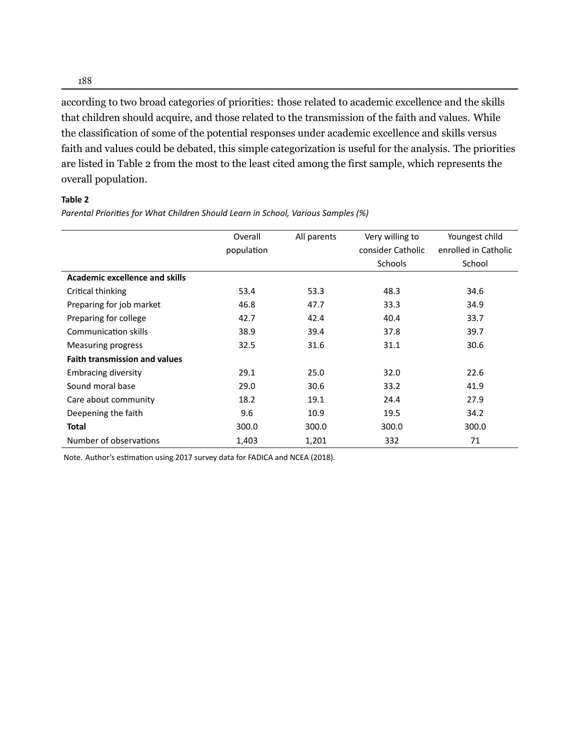according to two broad categories of priorities: those related to academic excellence and the skills that children should acquire, and those related to the transmission of the faith and values. While the classification of some of the potential responses under academic excellence and skills versus faith and values could be debated, this simple categorization is useful for the analysis. The priorities are listed in Table 2 from the most to the least cited among the first sample, which represents the overall population.

#### **Table 2**

*Parental Priorities for What Children Should Learn in School, Various Samples (%)* 

|                                       | Overall<br>population | All parents | Very willing to<br>consider Catholic<br><b>Schools</b> | Youngest child<br>enrolled in Catholic<br>School |
|---------------------------------------|-----------------------|-------------|--------------------------------------------------------|--------------------------------------------------|
| <b>Academic excellence and skills</b> |                       |             |                                                        |                                                  |
| Critical thinking                     | 53.4                  | 53.3        | 48.3                                                   | 34.6                                             |
| Preparing for job market              | 46.8                  | 47.7        | 33.3                                                   | 34.9                                             |
| Preparing for college                 | 42.7                  | 42.4        | 40.4                                                   | 33.7                                             |
| <b>Communication skills</b>           | 38.9                  | 39.4        | 37.8                                                   | 39.7                                             |
| Measuring progress                    | 32.5                  | 31.6        | 31.1                                                   | 30.6                                             |
| <b>Faith transmission and values</b>  |                       |             |                                                        |                                                  |
| <b>Embracing diversity</b>            | 29.1                  | 25.0        | 32.0                                                   | 22.6                                             |
| Sound moral base                      | 29.0                  | 30.6        | 33.2                                                   | 41.9                                             |
| Care about community                  | 18.2                  | 19.1        | 24.4                                                   | 27.9                                             |
| Deepening the faith                   | 9.6                   | 10.9        | 19.5                                                   | 34.2                                             |
| <b>Total</b>                          | 300.0                 | 300.0       | 300.0                                                  | 300.0                                            |
| Number of observations                | 1,403                 | 1,201       | 332                                                    | 71                                               |

Note.Author's estimation using 2017 survey data for FADICA and NCEA ([2018](#page-26-10)).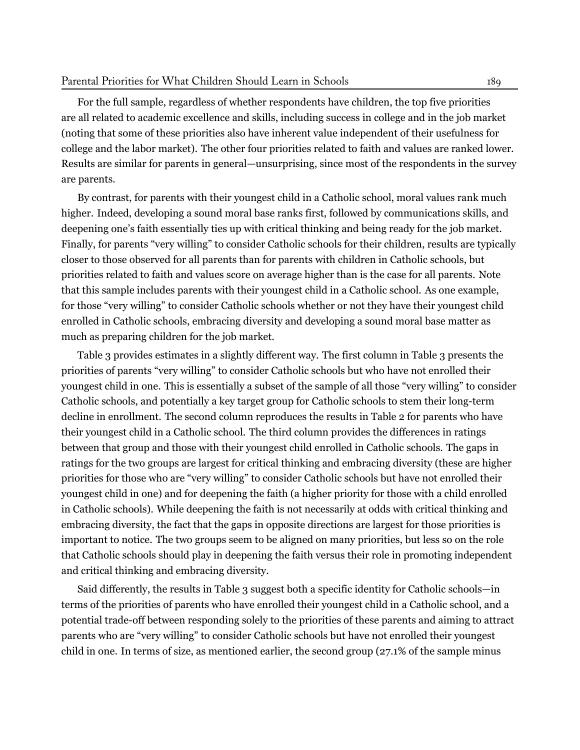For the full sample, regardless of whether respondents have children, the top five priorities are all related to academic excellence and skills, including success in college and in the job market (noting that some of these priorities also have inherent value independent of their usefulness for college and the labor market). The other four priorities related to faith and values are ranked lower. Results are similar for parents in general—unsurprising, since most of the respondents in the survey are parents.

By contrast, for parents with their youngest child in a Catholic school, moral values rank much higher. Indeed, developing a sound moral base ranks first, followed by communications skills, and deepening one's faith essentially ties up with critical thinking and being ready for the job market. Finally, for parents "very willing" to consider Catholic schools for their children, results are typically closer to those observed for all parents than for parents with children in Catholic schools, but priorities related to faith and values score on average higher than is the case for all parents. Note that this sample includes parents with their youngest child in a Catholic school. As one example, for those "very willing" to consider Catholic schools whether or not they have their youngest child enrolled in Catholic schools, embracing diversity and developing a sound moral base matter as much as preparing children for the job market.

Table 3 provides estimates in a slightly different way. The first column in Table 3 presents the priorities of parents "very willing" to consider Catholic schools but who have not enrolled their youngest child in one. This is essentially a subset of the sample of all those "very willing" to consider Catholic schools, and potentially a key target group for Catholic schools to stem their long-term decline in enrollment. The second column reproduces the results in Table 2 for parents who have their youngest child in a Catholic school. The third column provides the differences in ratings between that group and those with their youngest child enrolled in Catholic schools. The gaps in ratings for the two groups are largest for critical thinking and embracing diversity (these are higher priorities for those who are "very willing" to consider Catholic schools but have not enrolled their youngest child in one) and for deepening the faith (a higher priority for those with a child enrolled in Catholic schools). While deepening the faith is not necessarily at odds with critical thinking and embracing diversity, the fact that the gaps in opposite directions are largest for those priorities is important to notice. The two groups seem to be aligned on many priorities, but less so on the role that Catholic schools should play in deepening the faith versus their role in promoting independent and critical thinking and embracing diversity.

Said differently, the results in Table 3 suggest both a specific identity for Catholic schools—in terms of the priorities of parents who have enrolled their youngest child in a Catholic school, and a potential trade-off between responding solely to the priorities of these parents and aiming to attract parents who are "very willing" to consider Catholic schools but have not enrolled their youngest child in one. In terms of size, as mentioned earlier, the second group (27.1% of the sample minus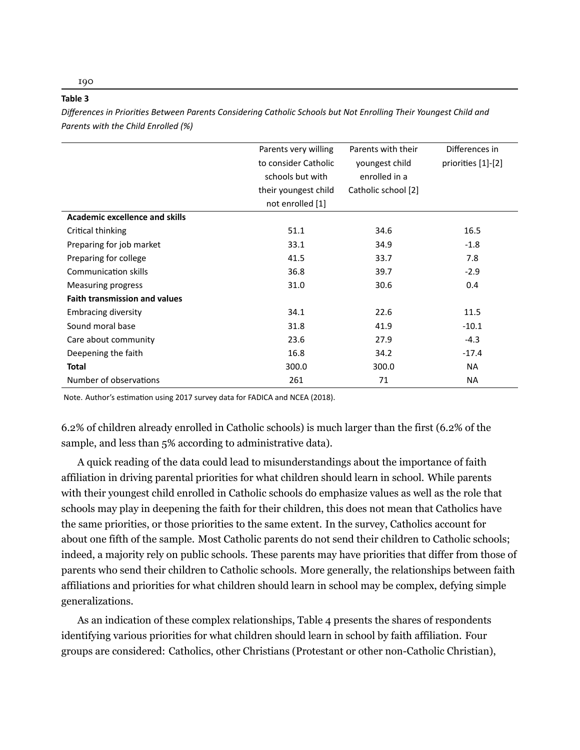|                                       | Parents very willing | Parents with their  | Differences in     |
|---------------------------------------|----------------------|---------------------|--------------------|
|                                       | to consider Catholic | youngest child      | priorities [1]-[2] |
|                                       | schools but with     | enrolled in a       |                    |
|                                       | their youngest child | Catholic school [2] |                    |
|                                       | not enrolled [1]     |                     |                    |
| <b>Academic excellence and skills</b> |                      |                     |                    |
| Critical thinking                     | 51.1                 | 34.6                | 16.5               |
| Preparing for job market              | 33.1                 | 34.9                | $-1.8$             |
| Preparing for college                 | 41.5                 | 33.7                | 7.8                |
| Communication skills                  | 36.8                 | 39.7                | $-2.9$             |
| <b>Measuring progress</b>             | 31.0                 | 30.6                | 0.4                |
| <b>Faith transmission and values</b>  |                      |                     |                    |
| <b>Embracing diversity</b>            | 34.1                 | 22.6                | 11.5               |
| Sound moral base                      | 31.8                 | 41.9                | $-10.1$            |
| Care about community                  | 23.6                 | 27.9                | $-4.3$             |
| Deepening the faith                   | 16.8                 | 34.2                | $-17.4$            |
| Total                                 | 300.0                | 300.0               | <b>NA</b>          |
| Number of observations                | 261                  | 71                  | <b>NA</b>          |
|                                       |                      |                     |                    |

*Differences in PrioriƟes Between Parents Considering Catholic Schools but Not Enrolling Their Youngest Child and Parents with the Child Enrolled (%)*

Note.Author's estimation using 2017 survey data for FADICA and NCEA ([2018](#page-26-10)).

6.2% of children already enrolled in Catholic schools) is much larger than the first (6.2% of the sample, and less than 5% according to administrative data).

A quick reading of the data could lead to misunderstandings about the importance of faith affiliation in driving parental priorities for what children should learn in school. While parents with their youngest child enrolled in Catholic schools do emphasize values as well as the role that schools may play in deepening the faith for their children, this does not mean that Catholics have the same priorities, or those priorities to the same extent. In the survey, Catholics account for about one fifth of the sample. Most Catholic parents do not send their children to Catholic schools; indeed, a majority rely on public schools. These parents may have priorities that differ from those of parents who send their children to Catholic schools. More generally, the relationships between faith affiliations and priorities for what children should learn in school may be complex, defying simple generalizations.

As an indication of these complex relationships, Table 4 presents the shares of respondents identifying various priorities for what children should learn in school by faith affiliation. Four groups are considered: Catholics, other Christians (Protestant or other non-Catholic Christian),

190

**Table 3**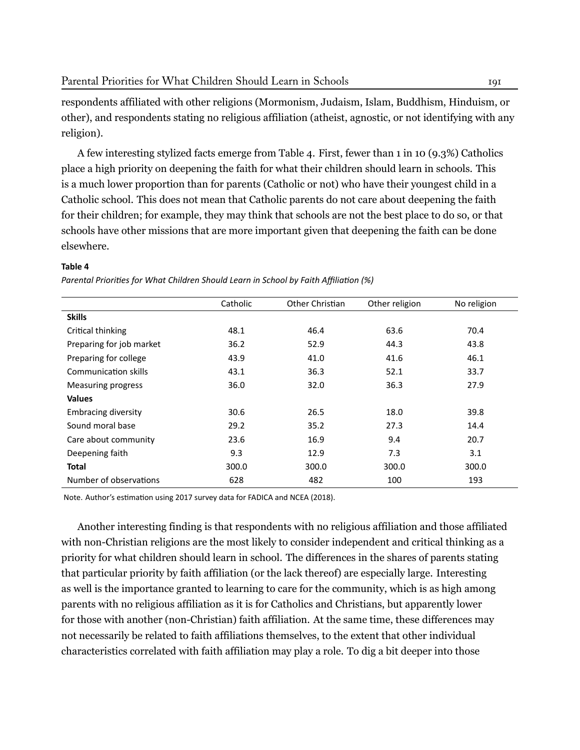respondents affiliated with other religions (Mormonism, Judaism, Islam, Buddhism, Hinduism, or other), and respondents stating no religious affiliation (atheist, agnostic, or not identifying with any religion).

A few interesting stylized facts emerge from Table 4. First, fewer than 1 in 10 (9.3%) Catholics place a high priority on deepening the faith for what their children should learn in schools. This is a much lower proportion than for parents (Catholic or not) who have their youngest child in a Catholic school. This does not mean that Catholic parents do not care about deepening the faith for their children; for example, they may think that schools are not the best place to do so, or that schools have other missions that are more important given that deepening the faith can be done elsewhere.

#### **Table 4**

*Parental Priorities for What Children Should Learn in School by Faith Affiliation (%)* 

|                            | Catholic | Other Christian | Other religion | No religion |
|----------------------------|----------|-----------------|----------------|-------------|
| <b>Skills</b>              |          |                 |                |             |
| Critical thinking          | 48.1     | 46.4            | 63.6           | 70.4        |
| Preparing for job market   | 36.2     | 52.9            | 44.3           | 43.8        |
| Preparing for college      | 43.9     | 41.0            | 41.6           | 46.1        |
| Communication skills       | 43.1     | 36.3            | 52.1           | 33.7        |
| Measuring progress         | 36.0     | 32.0            | 36.3           | 27.9        |
| <b>Values</b>              |          |                 |                |             |
| <b>Embracing diversity</b> | 30.6     | 26.5            | 18.0           | 39.8        |
| Sound moral base           | 29.2     | 35.2            | 27.3           | 14.4        |
| Care about community       | 23.6     | 16.9            | 9.4            | 20.7        |
| Deepening faith            | 9.3      | 12.9            | 7.3            | 3.1         |
| Total                      | 300.0    | 300.0           | 300.0          | 300.0       |
| Number of observations     | 628      | 482             | 100            | 193         |

Note.Author's estimation using 2017 survey data for FADICA and NCEA ([2018](#page-26-10)).

Another interesting finding is that respondents with no religious affiliation and those affiliated with non-Christian religions are the most likely to consider independent and critical thinking as a priority for what children should learn in school. The differences in the shares of parents stating that particular priority by faith affiliation (or the lack thereof) are especially large. Interesting as well is the importance granted to learning to care for the community, which is as high among parents with no religious affiliation as it is for Catholics and Christians, but apparently lower for those with another (non-Christian) faith affiliation. At the same time, these differences may not necessarily be related to faith affiliations themselves, to the extent that other individual characteristics correlated with faith affiliation may play a role. To dig a bit deeper into those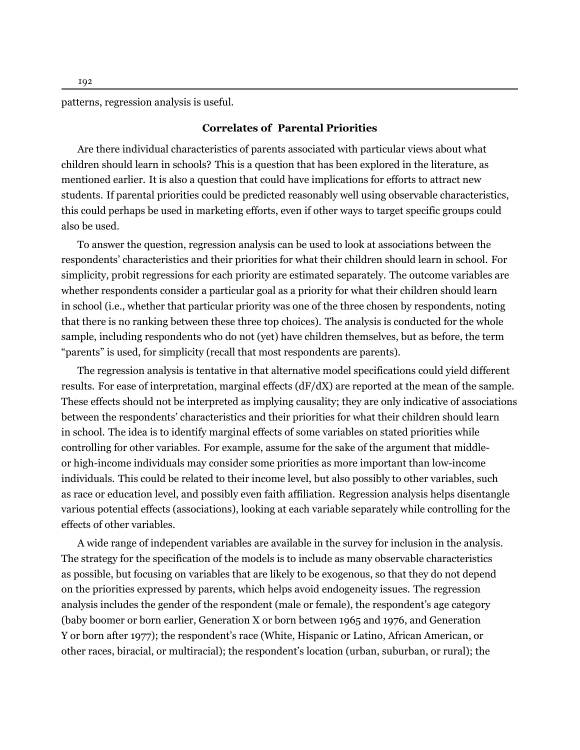patterns, regression analysis is useful.

#### **Correlates of Parental Priorities**

Are there individual characteristics of parents associated with particular views about what children should learn in schools? This is a question that has been explored in the literature, as mentioned earlier. It is also a question that could have implications for efforts to attract new students. If parental priorities could be predicted reasonably well using observable characteristics, this could perhaps be used in marketing efforts, even if other ways to target specific groups could also be used.

To answer the question, regression analysis can be used to look at associations between the respondents' characteristics and their priorities for what their children should learn in school. For simplicity, probit regressions for each priority are estimated separately. The outcome variables are whether respondents consider a particular goal as a priority for what their children should learn in school (i.e., whether that particular priority was one of the three chosen by respondents, noting that there is no ranking between these three top choices). The analysis is conducted for the whole sample, including respondents who do not (yet) have children themselves, but as before, the term "parents" is used, for simplicity (recall that most respondents are parents).

The regression analysis is tentative in that alternative model specifications could yield different results. For ease of interpretation, marginal effects  $(dF/dX)$  are reported at the mean of the sample. These effects should not be interpreted as implying causality; they are only indicative of associations between the respondents' characteristics and their priorities for what their children should learn in school. The idea is to identify marginal effects of some variables on stated priorities while controlling for other variables. For example, assume for the sake of the argument that middleor high-income individuals may consider some priorities as more important than low-income individuals. This could be related to their income level, but also possibly to other variables, such as race or education level, and possibly even faith affiliation. Regression analysis helps disentangle various potential effects (associations), looking at each variable separately while controlling for the effects of other variables.

A wide range of independent variables are available in the survey for inclusion in the analysis. The strategy for the specification of the models is to include as many observable characteristics as possible, but focusing on variables that are likely to be exogenous, so that they do not depend on the priorities expressed by parents, which helps avoid endogeneity issues. The regression analysis includes the gender of the respondent (male or female), the respondent's age category (baby boomer or born earlier, Generation X or born between 1965 and 1976, and Generation Y or born after 1977); the respondent's race (White, Hispanic or Latino, African American, or other races, biracial, or multiracial); the respondent's location (urban, suburban, or rural); the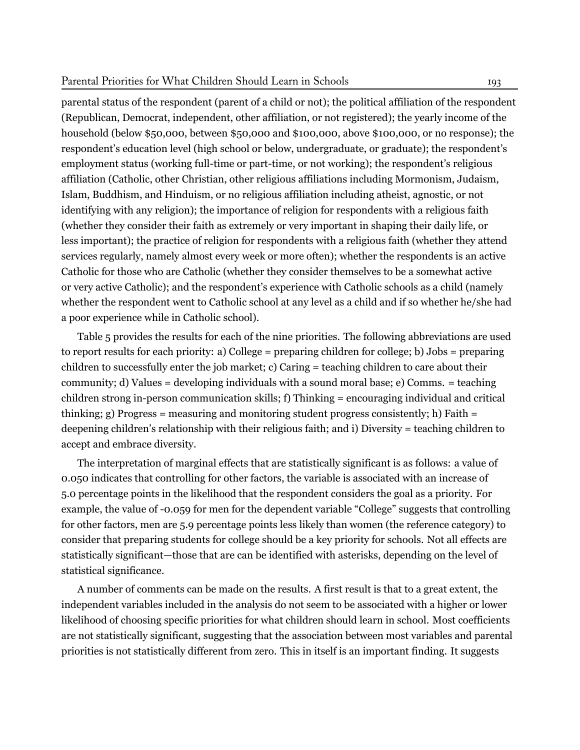#### Parental Priorities for What Children Should Learn in Schools 193

parental status of the respondent (parent of a child or not); the political affiliation of the respondent (Republican, Democrat, independent, other affiliation, or not registered); the yearly income of the household (below \$50,000, between \$50,000 and \$100,000, above \$100,000, or no response); the respondent's education level (high school or below, undergraduate, or graduate); the respondent's employment status (working full-time or part-time, or not working); the respondent's religious affiliation (Catholic, other Christian, other religious affiliations including Mormonism, Judaism, Islam, Buddhism, and Hinduism, or no religious affiliation including atheist, agnostic, or not identifying with any religion); the importance of religion for respondents with a religious faith (whether they consider their faith as extremely or very important in shaping their daily life, or less important); the practice of religion for respondents with a religious faith (whether they attend services regularly, namely almost every week or more often); whether the respondents is an active Catholic for those who are Catholic (whether they consider themselves to be a somewhat active or very active Catholic); and the respondent's experience with Catholic schools as a child (namely whether the respondent went to Catholic school at any level as a child and if so whether he/she had a poor experience while in Catholic school).

Table 5 provides the results for each of the nine priorities. The following abbreviations are used to report results for each priority: a) College = preparing children for college; b) Jobs = preparing children to successfully enter the job market; c) Caring = teaching children to care about their community; d) Values = developing individuals with a sound moral base; e) Comms. = teaching children strong in-person communication skills; f) Thinking = encouraging individual and critical thinking; g) Progress = measuring and monitoring student progress consistently; h) Faith = deepening children's relationship with their religious faith; and i) Diversity = teaching children to accept and embrace diversity.

The interpretation of marginal effects that are statistically significant is as follows: a value of 0.050 indicates that controlling for other factors, the variable is associated with an increase of 5.0 percentage points in the likelihood that the respondent considers the goal as a priority. For example, the value of -0.059 for men for the dependent variable "College" suggests that controlling for other factors, men are 5.9 percentage points less likely than women (the reference category) to consider that preparing students for college should be a key priority for schools. Not all effects are statistically significant—those that are can be identified with asterisks, depending on the level of statistical significance.

A number of comments can be made on the results. A first result is that to a great extent, the independent variables included in the analysis do not seem to be associated with a higher or lower likelihood of choosing specific priorities for what children should learn in school. Most coefficients are not statistically significant, suggesting that the association between most variables and parental priorities is not statistically different from zero. This in itself is an important finding. It suggests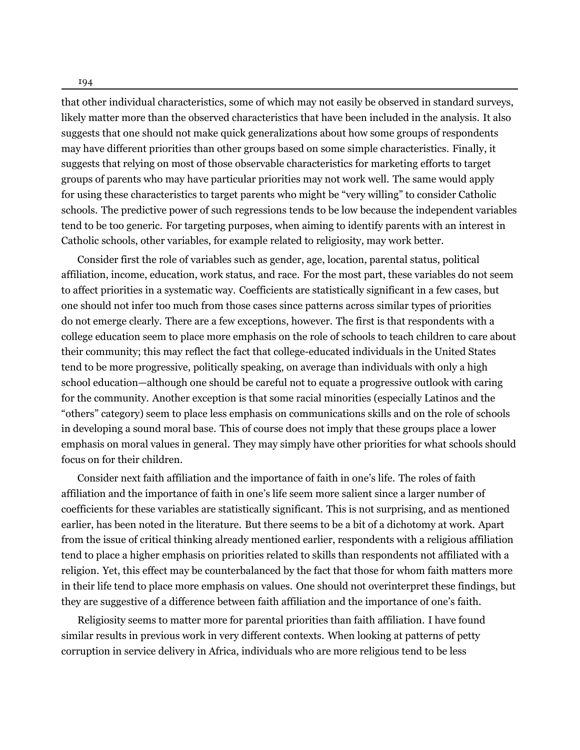that other individual characteristics, some of which may not easily be observed in standard surveys, likely matter more than the observed characteristics that have been included in the analysis. It also suggests that one should not make quick generalizations about how some groups of respondents may have different priorities than other groups based on some simple characteristics. Finally, it suggests that relying on most of those observable characteristics for marketing efforts to target groups of parents who may have particular priorities may not work well. The same would apply for using these characteristics to target parents who might be "very willing" to consider Catholic schools. The predictive power of such regressions tends to be low because the independent variables tend to be too generic. For targeting purposes, when aiming to identify parents with an interest in Catholic schools, other variables, for example related to religiosity, may work better.

Consider first the role of variables such as gender, age, location, parental status, political affiliation, income, education, work status, and race. For the most part, these variables do not seem to affect priorities in a systematic way. Coefficients are statistically significant in a few cases, but one should not infer too much from those cases since patterns across similar types of priorities do not emerge clearly. There are a few exceptions, however. The first is that respondents with a college education seem to place more emphasis on the role of schools to teach children to care about their community; this may reflect the fact that college-educated individuals in the United States tend to be more progressive, politically speaking, on average than individuals with only a high school education—although one should be careful not to equate a progressive outlook with caring for the community. Another exception is that some racial minorities (especially Latinos and the "others" category) seem to place less emphasis on communications skills and on the role of schools in developing a sound moral base. This of course does not imply that these groups place a lower emphasis on moral values in general. They may simply have other priorities for what schools should focus on for their children.

Consider next faith affiliation and the importance of faith in one's life. The roles of faith affiliation and the importance of faith in one's life seem more salient since a larger number of coefficients for these variables are statistically significant. This is not surprising, and as mentioned earlier, has been noted in the literature. But there seems to be a bit of a dichotomy at work. Apart from the issue of critical thinking already mentioned earlier, respondents with a religious affiliation tend to place a higher emphasis on priorities related to skills than respondents not affiliated with a religion. Yet, this effect may be counterbalanced by the fact that those for whom faith matters more in their life tend to place more emphasis on values. One should not overinterpret these findings, but they are suggestive of a difference between faith affiliation and the importance of one's faith.

Religiosity seems to matter more for parental priorities than faith affiliation. I have found similar results in previous work in very different contexts. When looking at patterns of petty corruption in service delivery in Africa, individuals who are more religious tend to be less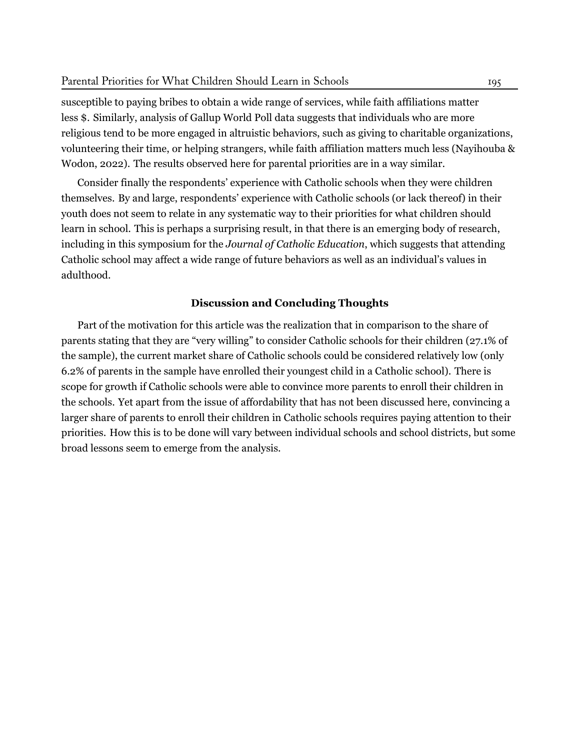susceptible to paying bribes to obtain a wide range of services, while faith affiliations matter less \$. Similarly, analysis of Gallup World Poll data suggests that individuals who are more religious tend to be more engaged in altruistic behaviors, such as giving to charitable organizations, volunteering their time, or helping strangers, while faith affiliation matters much less [\(Nayihouba &](#page-27-8) [Wodon,](#page-27-8) [2022](#page-27-8)). The results observed here for parental priorities are in a way similar.

Consider finally the respondents' experience with Catholic schools when they were children themselves. By and large, respondents' experience with Catholic schools (or lack thereof) in their youth does not seem to relate in any systematic way to their priorities for what children should learn in school. This is perhaps a surprising result, in that there is an emerging body of research, including in this symposium for the *Journal of Catholic Education*, which suggests that attending Catholic school may affect a wide range of future behaviors as well as an individual's values in adulthood.

#### **Discussion and Concluding Thoughts**

Part of the motivation for this article was the realization that in comparison to the share of parents stating that they are "very willing" to consider Catholic schools for their children (27.1% of the sample), the current market share of Catholic schools could be considered relatively low (only 6.2% of parents in the sample have enrolled their youngest child in a Catholic school). There is scope for growth if Catholic schools were able to convince more parents to enroll their children in the schools. Yet apart from the issue of affordability that has not been discussed here, convincing a larger share of parents to enroll their children in Catholic schools requires paying attention to their priorities. How this is to be done will vary between individual schools and school districts, but some broad lessons seem to emerge from the analysis.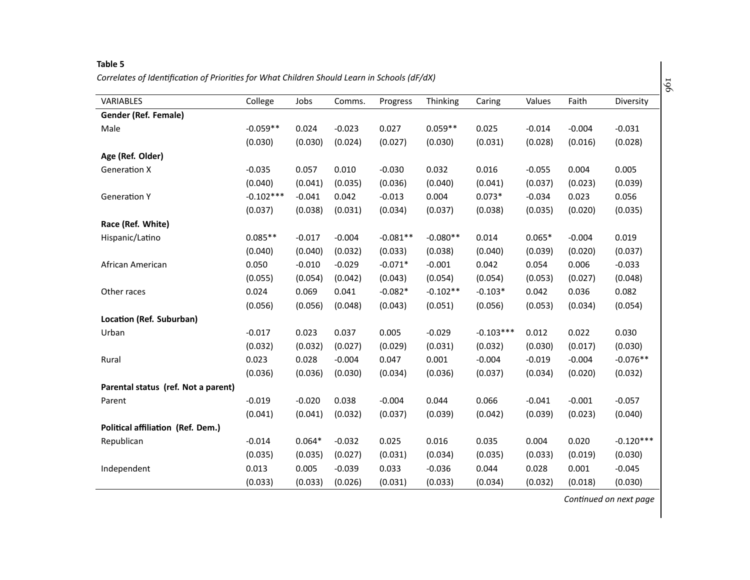#### **Table <sup>5</sup>** Correlates of Identification of Priorities for What Children Should Learn in Schools (dF/dX)

| <b>VARIABLES</b>                    | College     | Jobs     | Comms.   | Progress   | Thinking   | Caring      | Values   | Faith    | Diversity   |
|-------------------------------------|-------------|----------|----------|------------|------------|-------------|----------|----------|-------------|
| Gender (Ref. Female)                |             |          |          |            |            |             |          |          |             |
| Male                                | $-0.059**$  | 0.024    | $-0.023$ | 0.027      | $0.059**$  | 0.025       | $-0.014$ | $-0.004$ | $-0.031$    |
|                                     | (0.030)     | (0.030)  | (0.024)  | (0.027)    | (0.030)    | (0.031)     | (0.028)  | (0.016)  | (0.028)     |
| Age (Ref. Older)                    |             |          |          |            |            |             |          |          |             |
| <b>Generation X</b>                 | $-0.035$    | 0.057    | 0.010    | $-0.030$   | 0.032      | 0.016       | $-0.055$ | 0.004    | 0.005       |
|                                     | (0.040)     | (0.041)  | (0.035)  | (0.036)    | (0.040)    | (0.041)     | (0.037)  | (0.023)  | (0.039)     |
| <b>Generation Y</b>                 | $-0.102***$ | $-0.041$ | 0.042    | $-0.013$   | 0.004      | $0.073*$    | $-0.034$ | 0.023    | 0.056       |
|                                     | (0.037)     | (0.038)  | (0.031)  | (0.034)    | (0.037)    | (0.038)     | (0.035)  | (0.020)  | (0.035)     |
| Race (Ref. White)                   |             |          |          |            |            |             |          |          |             |
| Hispanic/Latino                     | $0.085**$   | $-0.017$ | $-0.004$ | $-0.081**$ | $-0.080**$ | 0.014       | $0.065*$ | $-0.004$ | 0.019       |
|                                     | (0.040)     | (0.040)  | (0.032)  | (0.033)    | (0.038)    | (0.040)     | (0.039)  | (0.020)  | (0.037)     |
| African American                    | 0.050       | $-0.010$ | $-0.029$ | $-0.071*$  | $-0.001$   | 0.042       | 0.054    | 0.006    | $-0.033$    |
|                                     | (0.055)     | (0.054)  | (0.042)  | (0.043)    | (0.054)    | (0.054)     | (0.053)  | (0.027)  | (0.048)     |
| Other races                         | 0.024       | 0.069    | 0.041    | $-0.082*$  | $-0.102**$ | $-0.103*$   | 0.042    | 0.036    | 0.082       |
|                                     | (0.056)     | (0.056)  | (0.048)  | (0.043)    | (0.051)    | (0.056)     | (0.053)  | (0.034)  | (0.054)     |
| Location (Ref. Suburban)            |             |          |          |            |            |             |          |          |             |
| Urban                               | $-0.017$    | 0.023    | 0.037    | 0.005      | $-0.029$   | $-0.103***$ | 0.012    | 0.022    | 0.030       |
|                                     | (0.032)     | (0.032)  | (0.027)  | (0.029)    | (0.031)    | (0.032)     | (0.030)  | (0.017)  | (0.030)     |
| Rural                               | 0.023       | 0.028    | $-0.004$ | 0.047      | 0.001      | $-0.004$    | $-0.019$ | $-0.004$ | $-0.076**$  |
|                                     | (0.036)     | (0.036)  | (0.030)  | (0.034)    | (0.036)    | (0.037)     | (0.034)  | (0.020)  | (0.032)     |
| Parental status (ref. Not a parent) |             |          |          |            |            |             |          |          |             |
| Parent                              | $-0.019$    | $-0.020$ | 0.038    | $-0.004$   | 0.044      | 0.066       | $-0.041$ | $-0.001$ | $-0.057$    |
|                                     | (0.041)     | (0.041)  | (0.032)  | (0.037)    | (0.039)    | (0.042)     | (0.039)  | (0.023)  | (0.040)     |
| Political affiliation (Ref. Dem.)   |             |          |          |            |            |             |          |          |             |
| Republican                          | $-0.014$    | $0.064*$ | $-0.032$ | 0.025      | 0.016      | 0.035       | 0.004    | 0.020    | $-0.120***$ |
|                                     | (0.035)     | (0.035)  | (0.027)  | (0.031)    | (0.034)    | (0.035)     | (0.033)  | (0.019)  | (0.030)     |
| Independent                         | 0.013       | 0.005    | $-0.039$ | 0.033      | $-0.036$   | 0.044       | 0.028    | 0.001    | $-0.045$    |
|                                     | (0.033)     | (0.033)  | (0.026)  | (0.031)    | (0.033)    | (0.034)     | (0.032)  | (0.018)  | (0.030)     |

*ConƟnued on next page*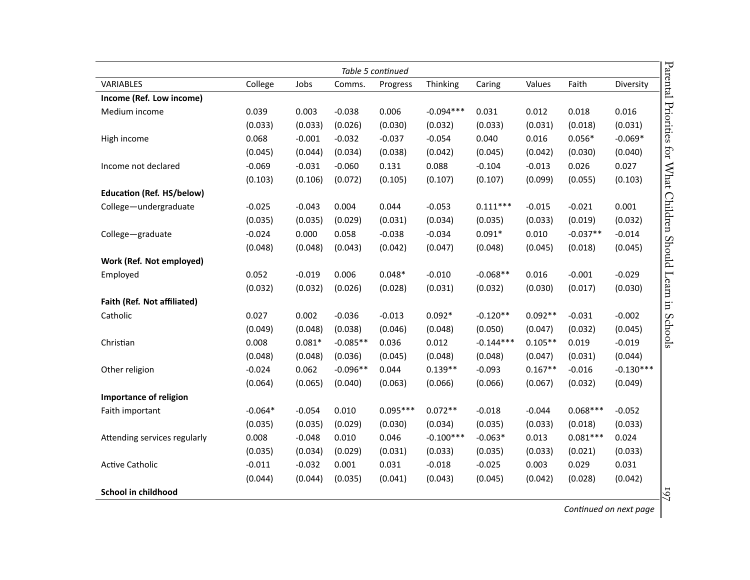| Parental Priorities for What Children Should Learn in<br>Table 5 continued |           |          |            |            |             |             |           |            |             |
|----------------------------------------------------------------------------|-----------|----------|------------|------------|-------------|-------------|-----------|------------|-------------|
| VARIABLES                                                                  | College   | Jobs     | Comms.     | Progress   | Thinking    | Caring      | Values    | Faith      | Diversity   |
| Income (Ref. Low income)                                                   |           |          |            |            |             |             |           |            |             |
| Medium income                                                              | 0.039     | 0.003    | $-0.038$   | 0.006      | $-0.094***$ | 0.031       | 0.012     | 0.018      | 0.016       |
|                                                                            | (0.033)   | (0.033)  | (0.026)    | (0.030)    | (0.032)     | (0.033)     | (0.031)   | (0.018)    | (0.031)     |
| High income                                                                | 0.068     | $-0.001$ | $-0.032$   | $-0.037$   | $-0.054$    | 0.040       | 0.016     | $0.056*$   | $-0.069*$   |
|                                                                            | (0.045)   | (0.044)  | (0.034)    | (0.038)    | (0.042)     | (0.045)     | (0.042)   | (0.030)    | (0.040)     |
| Income not declared                                                        | $-0.069$  | $-0.031$ | $-0.060$   | 0.131      | 0.088       | $-0.104$    | $-0.013$  | 0.026      | 0.027       |
|                                                                            | (0.103)   | (0.106)  | (0.072)    | (0.105)    | (0.107)     | (0.107)     | (0.099)   | (0.055)    | (0.103)     |
| <b>Education (Ref. HS/below)</b>                                           |           |          |            |            |             |             |           |            |             |
| College-undergraduate                                                      | $-0.025$  | $-0.043$ | 0.004      | 0.044      | $-0.053$    | $0.111***$  | $-0.015$  | $-0.021$   | 0.001       |
|                                                                            | (0.035)   | (0.035)  | (0.029)    | (0.031)    | (0.034)     | (0.035)     | (0.033)   | (0.019)    | (0.032)     |
| College-graduate                                                           | $-0.024$  | 0.000    | 0.058      | $-0.038$   | $-0.034$    | $0.091*$    | 0.010     | $-0.037**$ | $-0.014$    |
|                                                                            | (0.048)   | (0.048)  | (0.043)    | (0.042)    | (0.047)     | (0.048)     | (0.045)   | (0.018)    | (0.045)     |
| Work (Ref. Not employed)                                                   |           |          |            |            |             |             |           |            |             |
| Employed                                                                   | 0.052     | $-0.019$ | 0.006      | $0.048*$   | $-0.010$    | $-0.068**$  | 0.016     | $-0.001$   | $-0.029$    |
|                                                                            | (0.032)   | (0.032)  | (0.026)    | (0.028)    | (0.031)     | (0.032)     | (0.030)   | (0.017)    | (0.030)     |
| Faith (Ref. Not affiliated)                                                |           |          |            |            |             |             |           |            |             |
| Catholic                                                                   | 0.027     | 0.002    | $-0.036$   | $-0.013$   | $0.092*$    | $-0.120**$  | $0.092**$ | $-0.031$   | $-0.002$    |
|                                                                            | (0.049)   | (0.048)  | (0.038)    | (0.046)    | (0.048)     | (0.050)     | (0.047)   | (0.032)    | (0.045)     |
| Christian                                                                  | 0.008     | $0.081*$ | $-0.085**$ | 0.036      | 0.012       | $-0.144***$ | $0.105**$ | 0.019      | $-0.019$    |
|                                                                            | (0.048)   | (0.048)  | (0.036)    | (0.045)    | (0.048)     | (0.048)     | (0.047)   | (0.031)    | (0.044)     |
| Other religion                                                             | $-0.024$  | 0.062    | $-0.096**$ | 0.044      | $0.139**$   | $-0.093$    | $0.167**$ | $-0.016$   | $-0.130***$ |
|                                                                            | (0.064)   | (0.065)  | (0.040)    | (0.063)    | (0.066)     | (0.066)     | (0.067)   | (0.032)    | (0.049)     |
| Importance of religion                                                     |           |          |            |            |             |             |           |            |             |
| Faith important                                                            | $-0.064*$ | $-0.054$ | 0.010      | $0.095***$ | $0.072**$   | $-0.018$    | $-0.044$  | $0.068***$ | $-0.052$    |
|                                                                            | (0.035)   | (0.035)  | (0.029)    | (0.030)    | (0.034)     | (0.035)     | (0.033)   | (0.018)    | (0.033)     |
| Attending services regularly                                               | 0.008     | $-0.048$ | 0.010      | 0.046      | $-0.100***$ | $-0.063*$   | 0.013     | $0.081***$ | 0.024       |
|                                                                            | (0.035)   | (0.034)  | (0.029)    | (0.031)    | (0.033)     | (0.035)     | (0.033)   | (0.021)    | (0.033)     |
| <b>Active Catholic</b>                                                     | $-0.011$  | $-0.032$ | 0.001      | 0.031      | $-0.018$    | $-0.025$    | 0.003     | 0.029      | 0.031       |
|                                                                            | (0.044)   | (0.044)  | (0.035)    | (0.041)    | (0.043)     | (0.045)     | (0.042)   | (0.028)    | (0.042)     |
| School in childhood                                                        |           |          |            |            |             |             |           |            |             |

*ConƟnued on next page*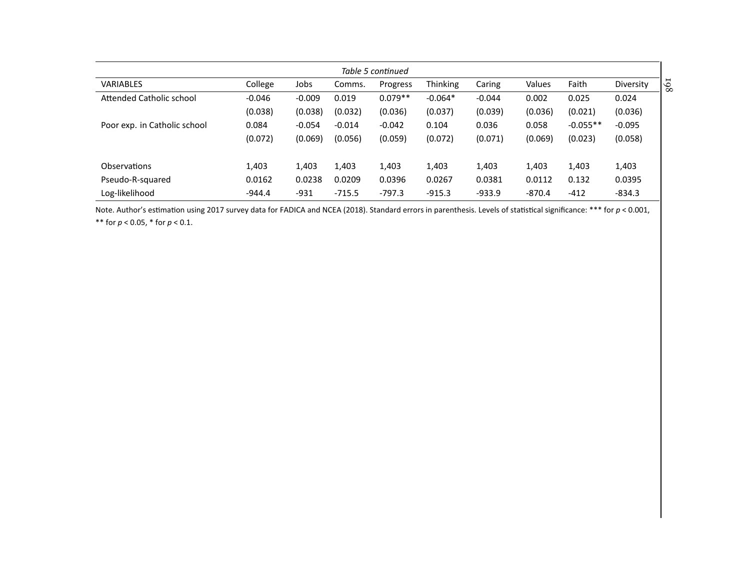| Table 5 continued            |          |          |          |           |                 |          |          |            |           |
|------------------------------|----------|----------|----------|-----------|-----------------|----------|----------|------------|-----------|
| <b>VARIABLES</b>             | College  | Jobs     | Comms.   | Progress  | <b>Thinking</b> | Caring   | Values   | Faith      | Diversity |
| Attended Catholic school     | $-0.046$ | $-0.009$ | 0.019    | $0.079**$ | $-0.064*$       | $-0.044$ | 0.002    | 0.025      | 0.024     |
|                              | (0.038)  | (0.038)  | (0.032)  | (0.036)   | (0.037)         | (0.039)  | (0.036)  | (0.021)    | (0.036)   |
| Poor exp. in Catholic school | 0.084    | $-0.054$ | $-0.014$ | $-0.042$  | 0.104           | 0.036    | 0.058    | $-0.055**$ | $-0.095$  |
|                              | (0.072)  | (0.069)  | (0.056)  | (0.059)   | (0.072)         | (0.071)  | (0.069)  | (0.023)    | (0.058)   |
|                              |          |          |          |           |                 |          |          |            |           |
| <b>Observations</b>          | 1,403    | 1,403    | 1,403    | 1,403     | 1,403           | 1,403    | 1,403    | 1,403      | 1,403     |
| Pseudo-R-squared             | 0.0162   | 0.0238   | 0.0209   | 0.0396    | 0.0267          | 0.0381   | 0.0112   | 0.132      | 0.0395    |
| Log-likelihood               | $-944.4$ | $-931$   | $-715.5$ | $-797.3$  | $-915.3$        | $-933.9$ | $-870.4$ | $-412$     | $-834.3$  |

Note. Author's estimation using 2017 survey data for FADICA and NCEA ([2018](#page-26-11)). Standard errors in parenthesis. Levels of statistical significance: \*\*\* for *p* < 0.001, \*\* for *<sup>p</sup>* <sup>&</sup>lt; 0.05, \* for *<sup>p</sup>* <sup>&</sup>lt; 0.1.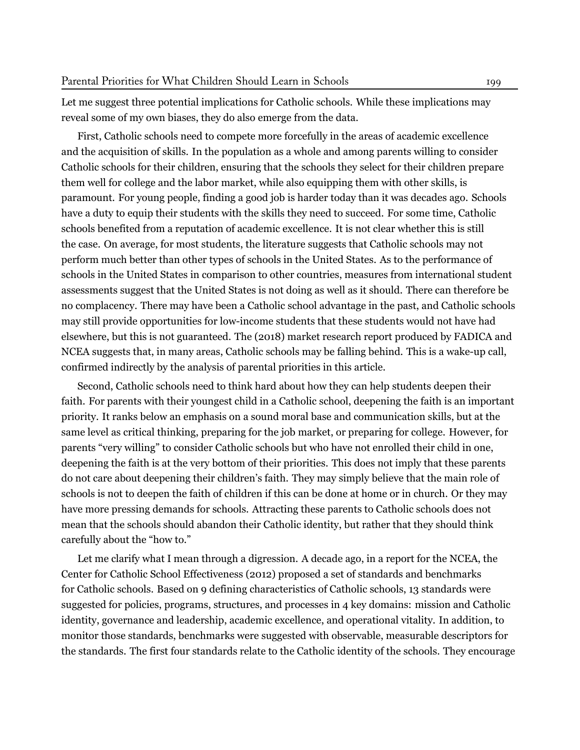Let me suggest three potential implications for Catholic schools. While these implications may reveal some of my own biases, they do also emerge from the data.

First, Catholic schools need to compete more forcefully in the areas of academic excellence and the acquisition of skills. In the population as a whole and among parents willing to consider Catholic schools for their children, ensuring that the schools they select for their children prepare them well for college and the labor market, while also equipping them with other skills, is paramount. For young people, finding a good job is harder today than it was decades ago. Schools have a duty to equip their students with the skills they need to succeed. For some time, Catholic schools benefited from a reputation of academic excellence. It is not clear whether this is still the case. On average, for most students, the literature suggests that Catholic schools may not perform much better than other types of schools in the United States. As to the performance of schools in the United States in comparison to other countries, measures from international student assessments suggest that the United States is not doing as well as it should. There can therefore be no complacency. There may have been a Catholic school advantage in the past, and Catholic schools may still provide opportunities for low-income students that these students would not have had elsewhere, but this is not guaranteed. The (2018) market research report produced by FADICA and NCEA suggests that, in many areas, Catholic schools may be falling behind. This is a wake-up call, confirmed indirectly by the analysis of parental priorities in this article.

Second, Catholic schools need to think hard about how they can help students deepen their faith. For parents with their youngest child in a Catholic school, deepening the faith is an important priority. It ranks below an emphasis on a sound moral base and communication skills, but at the same level as critical thinking, preparing for the job market, or preparing for college. However, for parents "very willing" to consider Catholic schools but who have not enrolled their child in one, deepening the faith is at the very bottom of their priorities. This does not imply that these parents do not care about deepening their children's faith. They may simply believe that the main role of schools is not to deepen the faith of children if this can be done at home or in church. Or they may have more pressing demands for schools. Attracting these parents to Catholic schools does not mean that the schools should abandon their Catholic identity, but rather that they should think carefully about the "how to."

Let me clarify what I mean through a digression. A decade ago, in a report for the NCEA, the Center for Catholic School Effectiveness ([2012](#page-26-12)) proposed a set of standards and benchmarks for Catholic schools. Based on 9 defining characteristics of Catholic schools, 13 standards were suggested for policies, programs, structures, and processes in 4 key domains: mission and Catholic identity, governance and leadership, academic excellence, and operational vitality. In addition, to monitor those standards, benchmarks were suggested with observable, measurable descriptors for the standards. The first four standards relate to the Catholic identity of the schools. They encourage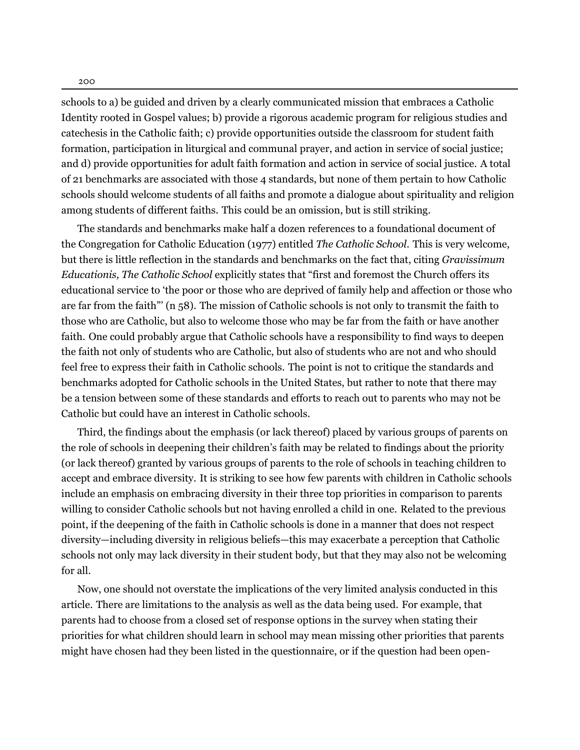schools to a) be guided and driven by a clearly communicated mission that embraces a Catholic Identity rooted in Gospel values; b) provide a rigorous academic program for religious studies and catechesis in the Catholic faith; c) provide opportunities outside the classroom for student faith formation, participation in liturgical and communal prayer, and action in service of social justice; and d) provide opportunities for adult faith formation and action in service of social justice. A total of 21 benchmarks are associated with those 4 standards, but none of them pertain to how Catholic schools should welcome students of all faiths and promote a dialogue about spirituality and religion among students of different faiths. This could be an omission, but is still striking.

The standards and benchmarks make half a dozen references to a foundational document of the Congregation for Catholic Education (1977) entitled *The Catholic School*. This is very welcome, but there is little reflection in the standards and benchmarks on the fact that, citing *Gravissimum Educationis, The Catholic School* explicitly states that "first and foremost the Church offers its educational service to 'the poor or those who are deprived of family help and affection or those who are far from the faith"' (n 58). The mission of Catholic schools is not only to transmit the faith to those who are Catholic, but also to welcome those who may be far from the faith or have another faith. One could probably argue that Catholic schools have a responsibility to find ways to deepen the faith not only of students who are Catholic, but also of students who are not and who should feel free to express their faith in Catholic schools. The point is not to critique the standards and benchmarks adopted for Catholic schools in the United States, but rather to note that there may be a tension between some of these standards and efforts to reach out to parents who may not be Catholic but could have an interest in Catholic schools.

Third, the findings about the emphasis (or lack thereof) placed by various groups of parents on the role of schools in deepening their children's faith may be related to findings about the priority (or lack thereof) granted by various groups of parents to the role of schools in teaching children to accept and embrace diversity. It is striking to see how few parents with children in Catholic schools include an emphasis on embracing diversity in their three top priorities in comparison to parents willing to consider Catholic schools but not having enrolled a child in one. Related to the previous point, if the deepening of the faith in Catholic schools is done in a manner that does not respect diversity—including diversity in religious beliefs—this may exacerbate a perception that Catholic schools not only may lack diversity in their student body, but that they may also not be welcoming for all.

Now, one should not overstate the implications of the very limited analysis conducted in this article. There are limitations to the analysis as well as the data being used. For example, that parents had to choose from a closed set of response options in the survey when stating their priorities for what children should learn in school may mean missing other priorities that parents might have chosen had they been listed in the questionnaire, or if the question had been open-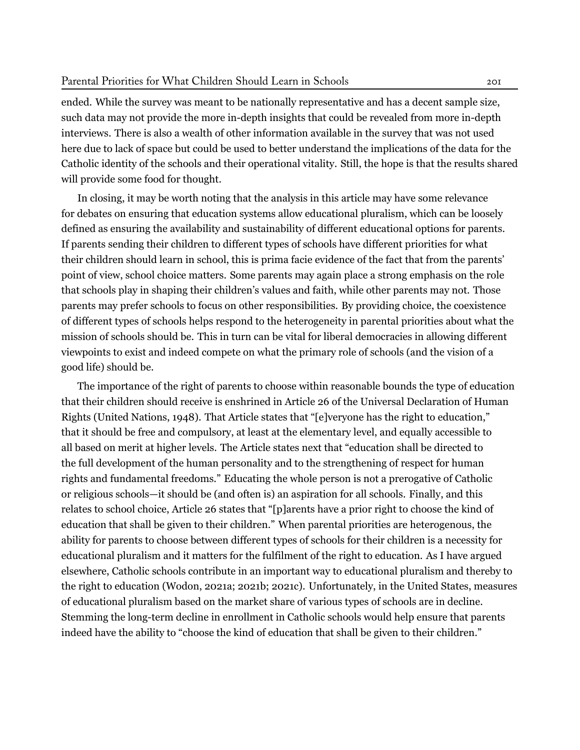ended. While the survey was meant to be nationally representative and has a decent sample size, such data may not provide the more in-depth insights that could be revealed from more in-depth interviews. There is also a wealth of other information available in the survey that was not used here due to lack of space but could be used to better understand the implications of the data for the Catholic identity of the schools and their operational vitality. Still, the hope is that the results shared will provide some food for thought.

In closing, it may be worth noting that the analysis in this article may have some relevance for debates on ensuring that education systems allow educational pluralism, which can be loosely defined as ensuring the availability and sustainability of different educational options for parents. If parents sending their children to different types of schools have different priorities for what their children should learn in school, this is prima facie evidence of the fact that from the parents' point of view, school choice matters. Some parents may again place a strong emphasis on the role that schools play in shaping their children's values and faith, while other parents may not. Those parents may prefer schools to focus on other responsibilities. By providing choice, the coexistence of different types of schools helps respond to the heterogeneity in parental priorities about what the mission of schools should be. This in turn can be vital for liberal democracies in allowing different viewpoints to exist and indeed compete on what the primary role of schools (and the vision of a good life) should be.

The importance of the right of parents to choose within reasonable bounds the type of education that their children should receive is enshrined in Article 26 of the Universal Declaration of Human Rights (United Nations, [1948\)](#page-28-7). That Article states that "[e]veryone has the right to education," that it should be free and compulsory, at least at the elementary level, and equally accessible to all based on merit at higher levels. The Article states next that "education shall be directed to the full development of the human personality and to the strengthening of respect for human rights and fundamental freedoms." Educating the whole person is not a prerogative of Catholic or religious schools—it should be (and often is) an aspiration for all schools. Finally, and this relates to school choice, Article 26 states that "[p]arents have a prior right to choose the kind of education that shall be given to their children." When parental priorities are heterogenous, the ability for parents to choose between different types of schools for their children is a necessity for educational pluralism and it matters for the fulfilment of the right to education. As I have argued elsewhere, Catholic schools contribute in an important way to educational pluralism and thereby to the right to education (Wodon, [2021a](#page-28-8); [2021b;](#page-28-6) [2021c](#page-29-1)). Unfortunately, in the United States, measures of educational pluralism based on the market share of various types of schools are in decline. Stemming the long-term decline in enrollment in Catholic schools would help ensure that parents indeed have the ability to "choose the kind of education that shall be given to their children."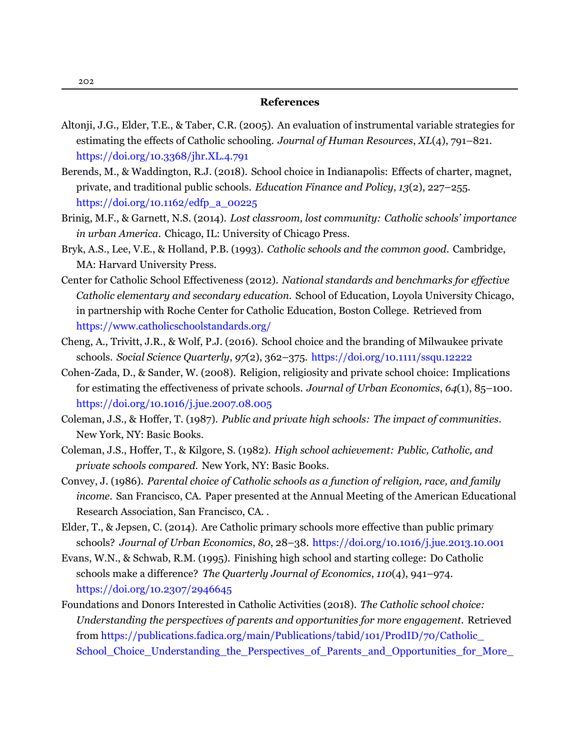- <span id="page-26-11"></span><span id="page-26-4"></span>Altonji, J.G., Elder, T.E., & Taber, C.R. (2005). An evaluation of instrumental variable strategies for estimating the effects of Catholic schooling. *Journal of Human Resources*, *XL*(4), 791–821. <https://doi.org/10.3368/jhr.XL.4.791>
- <span id="page-26-5"></span>Berends, M., & Waddington, R.J. (2018). School choice in Indianapolis: Effects of charter, magnet, private, and traditional public schools. *Education Finance and Policy*, *13*(2), 227–255. [https://doi.org/10.1162/edfp\\_a\\_00225](https://doi.org/10.1162/edfp_a_00225)
- Brinig, M.F., & Garnett, N.S. (2014). *Lost classroom, lost community: Catholic schools' importance in urban America*. Chicago, IL: University of Chicago Press.
- <span id="page-26-2"></span>Bryk, A.S., Lee, V.E., & Holland, P.B. (1993). *Catholic schools and the common good*. Cambridge, MA: Harvard University Press.
- <span id="page-26-12"></span>Center for Catholic School Effectiveness (2012). *National standards and benchmarks for effective Catholic elementary and secondary education*. School of Education, Loyola University Chicago, in partnership with Roche Center for Catholic Education, Boston College. [Retrieved from](https://www.catholicschoolstandards.org/) <https://www.catholicschoolstandards.org/>
- <span id="page-26-9"></span>Cheng, A., Trivitt, J.R., & Wolf, P.J. (2016). School choice and the branding of Milwaukee private schools. *Social Science Quarterly*, *97*(2), 362–375. <https://doi.org/10.1111/ssqu.12222>
- <span id="page-26-8"></span>Cohen-Zada, D., & Sander, W. (2008). Religion, religiosity and private school choice: Implications for estimating the effectiveness of private schools. *Journal of Urban Economics*, *64*(1), 85–100. <https://doi.org/10.1016/j.jue.2007.08.005>
- <span id="page-26-1"></span>Coleman, J.S., & Hoffer, T. (1987). *Public and private high schools: The impact of communities*. New York, NY: Basic Books.
- <span id="page-26-0"></span>Coleman, J.S., Hoffer, T., & Kilgore, S. (1982). *High school achievement: Public, Catholic, and private schools compared*. New York, NY: Basic Books.
- <span id="page-26-7"></span>Convey, J. (1986). *Parental choice of Catholic schools as a function of religion, race, and family income*. San Francisco, CA. Paper presented at the Annual Meeting of the American Educational Research Association, San Francisco, CA. .
- <span id="page-26-6"></span>Elder, T., & Jepsen, C. (2014). Are Catholic primary schools more effective than public primary schools? *Journal of Urban Economics*, *80*, 28–38. <https://doi.org/10.1016/j.jue.2013.10.001>
- <span id="page-26-3"></span>Evans, W.N., & Schwab, R.M. (1995). Finishing high school and starting college: Do Catholic schools make a difference? *The Quarterly Journal of Economics*, *110*(4), 941–974. <https://doi.org/10.2307/2946645>
- <span id="page-26-10"></span>Foundations and Donors Interested in Catholic Activities (2018). *The Catholic school choice: Understanding the perspectives of parents and opportunities for more engagement*. [Retrieved](https://publications.fadica.org/main/Publications/tabid/101/ProdID/70/Catholic_School_Choice_Understanding_the_Perspectives_of_Parents_and_Opportunities_for_More_Engagement.aspx) from [https://publications.fadica.org/main/Publications/tabid/101/ProdID/70/Catholic\\_](https://publications.fadica.org/main/Publications/tabid/101/ProdID/70/Catholic_School_Choice_Understanding_the_Perspectives_of_Parents_and_Opportunities_for_More_Engagement.aspx) [School\\_Choice\\_Understanding\\_the\\_Perspectives\\_of\\_Parents\\_and\\_Opportunities\\_for\\_More\\_](https://publications.fadica.org/main/Publications/tabid/101/ProdID/70/Catholic_School_Choice_Understanding_the_Perspectives_of_Parents_and_Opportunities_for_More_Engagement.aspx)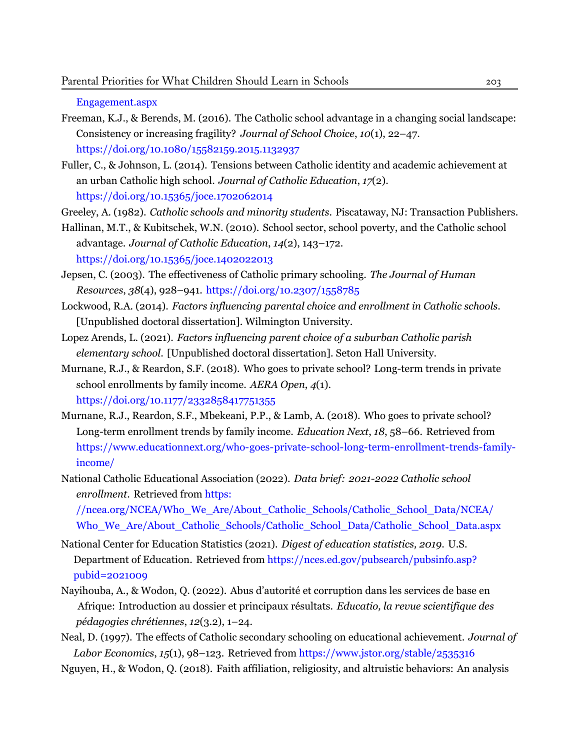[Engagement.aspx](https://publications.fadica.org/main/Publications/tabid/101/ProdID/70/Catholic_School_Choice_Understanding_the_Perspectives_of_Parents_and_Opportunities_for_More_Engagement.aspx)

- <span id="page-27-4"></span>Freeman, K.J., & Berends, M. (2016). The Catholic school advantage in a changing social landscape: Consistency or increasing fragility? *Journal of School Choice*, *10*(1), 22–47. <https://doi.org/10.1080/15582159.2015.1132937>
- <span id="page-27-7"></span>Fuller, C., & Johnson, L. (2014). Tensions between Catholic identity and academic achievement at an urban Catholic high school. *Journal of Catholic Education*, *17*(2). <https://doi.org/10.15365/joce.1702062014>

<span id="page-27-2"></span>Greeley, A. (1982). *Catholic schools and minority students*. Piscataway, NJ: Transaction Publishers.

<span id="page-27-5"></span>Hallinan, M.T., & Kubitschek, W.N. (2010). School sector, school poverty, and the Catholic school advantage. *Journal of Catholic Education*, *14*(2), 143–172. <https://doi.org/10.15365/joce.1402022013>

- <span id="page-27-6"></span>Jepsen, C. (2003). The effectiveness of Catholic primary schooling. *The Journal of Human Resources*, *38*(4), 928–941. <https://doi.org/10.2307/1558785>
- Lockwood, R.A. (2014). *Factors influencing parental choice and enrollment in Catholic schools*. [Unpublished doctoral dissertation]. Wilmington University.
- Lopez Arends, L. (2021). *Factors influencing parent choice of a suburban Catholic parish elementary school*. [Unpublished doctoral dissertation]. Seton Hall University.
- <span id="page-27-1"></span>Murnane, R.J., & Reardon, S.F. (2018). Who goes to private school? Long-term trends in private school enrollments by family income. *AERA Open*, *4*(1). <https://doi.org/10.1177/2332858417751355>
- Murnane, R.J., Reardon, S.F., Mbekeani, P.P., & Lamb, A. (2018). Who goes to private school? Long-term enrollment trends by family income. *Education Next*, *18*, 58–66. [Retrieved from](https://www.educationnext.org/who-goes-private-school-long-term-enrollment-trends-family-income/) [https://www.educationnext.org/who-goes-private-school-long-term-enrollment-trends-family](https://www.educationnext.org/who-goes-private-school-long-term-enrollment-trends-family-income/)[income/](https://www.educationnext.org/who-goes-private-school-long-term-enrollment-trends-family-income/)
- National Catholic Educational Association (2022). *Data brief: 2021-2022 Catholic school enrollment*. [Retrieved from](https://ncea.org/NCEA/Who_We_Are/About_Catholic_Schools/Catholic_School_Data/NCEA/Who_We_Are/About_Catholic_Schools/Catholic_School_Data/Catholic_School_Data.aspx) https:

[//ncea.org/NCEA/Who\\_We\\_Are/About\\_Catholic\\_Schools/Catholic\\_School\\_Data/NCEA/](https://ncea.org/NCEA/Who_We_Are/About_Catholic_Schools/Catholic_School_Data/NCEA/Who_We_Are/About_Catholic_Schools/Catholic_School_Data/Catholic_School_Data.aspx) [Who\\_We\\_Are/About\\_Catholic\\_Schools/Catholic\\_School\\_Data/Catholic\\_School\\_Data.aspx](https://ncea.org/NCEA/Who_We_Are/About_Catholic_Schools/Catholic_School_Data/NCEA/Who_We_Are/About_Catholic_Schools/Catholic_School_Data/Catholic_School_Data.aspx)

- <span id="page-27-8"></span><span id="page-27-0"></span>National Center for Education Statistics (2021). *Digest of education statistics, 2019*. U.S. Department of Education. Retrieved from [https://nces.ed.gov/pubsearch/pubsinfo.asp?](https://nces.ed.gov/pubsearch/pubsinfo.asp?pubid=2021009) pubid=2021009
- <span id="page-27-3"></span>Nayihouba, A., & Wodon, Q. (2022). Abus d'autorité et corruption dans les services de base en Afrique: Introduction au dossier et principaux résultats. *Educatio, la revue scientifique des pédagogies chrétiennes*, *12*(3.2), 1–24.
- Neal, D. (1997). The effects of Catholic secondary schooling on educational achievement. *Journal of Labor Economics*, *15*(1), 98–123. Retrieved from <https://www.jstor.org/stable/2535316>

Nguyen, H., & Wodon, Q. (2018). Faith affiliation, religiosity, and altruistic behaviors: An analysis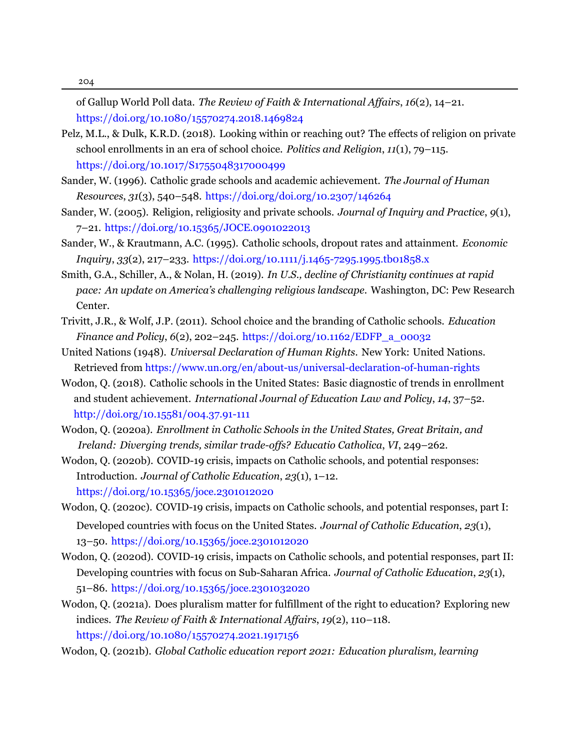204

of Gallup World Poll data. *The Review of Faith & International Affairs*, *16*(2), 14–21. <https://doi.org/10.1080/15570274.2018.1469824>

- <span id="page-28-5"></span>Pelz, M.L., & Dulk, K.R.D. (2018). Looking within or reaching out? The effects of religion on private school enrollments in an era of school choice. *Politics and Religion*, *11*(1), 79–115. <https://doi.org/10.1017/S1755048317000499>
- <span id="page-28-2"></span>Sander, W. (1996). Catholic grade schools and academic achievement. *The Journal of Human Resources*, *31*(3), 540–548. <https://doi.org/doi.org/10.2307/146264>
- <span id="page-28-3"></span>Sander, W. (2005). Religion, religiosity and private schools. *Journal of Inquiry and Practice*, *9*(1), 7–21. <https://doi.org/10.15365/JOCE.0901022013>
- <span id="page-28-1"></span>Sander, W., & Krautmann, A.C. (1995). Catholic schools, dropout rates and attainment. *Economic Inquiry*, *33*(2), 217–233. <https://doi.org/10.1111/j.1465-7295.1995.tb01858.x>
- <span id="page-28-0"></span>Smith, G.A., Schiller, A., & Nolan, H. (2019). *In U.S., decline of Christianity continues at rapid pace: An update on America's challenging religious landscape.* Washington, DC: Pew Research Center.
- <span id="page-28-4"></span>Trivitt, J.R., & Wolf, J.P. (2011). School choice and the branding of Catholic schools. *Education Finance and Policy*, *6*(2), 202–245. [https://doi.org/10.1162/EDFP\\_a\\_00032](https://doi.org/10.1162/EDFP_a_00032)
- <span id="page-28-7"></span>United Nations (1948). *Universal Declaration of Human Rights*. New York: United Nations. Retrieved from <https://www.un.org/en/about-us/universal-declaration-of-human-rights>
- Wodon, Q. (2018). Catholic schools in the United States: Basic diagnostic of trends in enrollment and student achievement. *International Journal of Education Law and Policy*, *14*, 37–52. [http://doi.org/10.15581/004.37.91-111](https://doi.org/http://doi.org/10.15581/004.37.91-111)
- Wodon, Q. (2020a). *Enrollment in Catholic Schools in the United States, Great Britain, and Ireland: Diverging trends, similar trade-offs? Educatio Catholica*, *VI*, 249–262.
- Wodon, Q. (2020b). COVID-19 crisis, impacts on Catholic schools, and potential responses: Introduction. *Journal of Catholic Education*, *23*(1), 1–12. <https://doi.org/10.15365/joce.2301012020>
- Wodon, Q. (2020c). COVID-19 crisis, impacts on Catholic schools, and potential responses, part I: Developed countries with focus on the United States. *Journal of Catholic Education*, *23*(1), 13–50. <https://doi.org/10.15365/joce.2301012020>
- Wodon, Q. (2020d). COVID-19 crisis, impacts on Catholic schools, and potential responses, part II: Developing countries with focus on Sub-Saharan Africa. *Journal of Catholic Education*, *23*(1), 51–86. <https://doi.org/10.15365/joce.2301032020>
- <span id="page-28-8"></span>Wodon, Q. (2021a). Does pluralism matter for fulfillment of the right to education? Exploring new indices. *The Review of Faith & International Affairs*, *19*(2), 110–118. <https://doi.org/10.1080/15570274.2021.1917156>

<span id="page-28-6"></span>Wodon, Q. (2021b). *Global Catholic education report 2021: Education pluralism, learning*